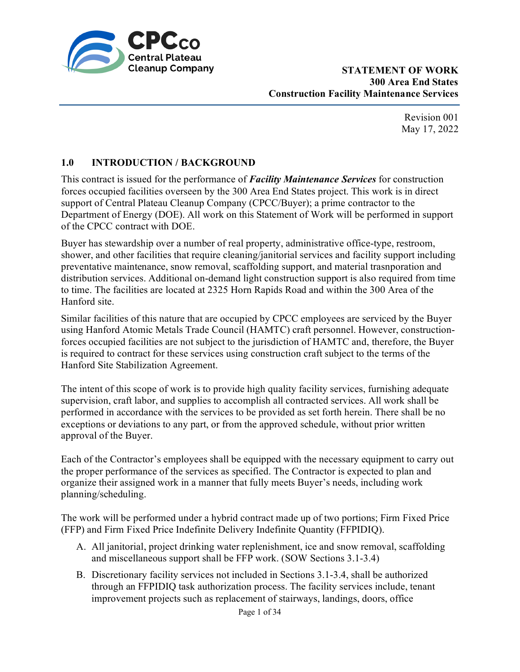

> Revision 001 May 17, 2022

# **1.0 INTRODUCTION / BACKGROUND**

This contract is issued for the performance of *Facility Maintenance Services* for construction forces occupied facilities overseen by the 300 Area End States project. This work is in direct support of Central Plateau Cleanup Company (CPCC/Buyer); a prime contractor to the Department of Energy (DOE). All work on this Statement of Work will be performed in support of the CPCC contract with DOE.

Buyer has stewardship over a number of real property, administrative office-type, restroom, shower, and other facilities that require cleaning/janitorial services and facility support including preventative maintenance, snow removal, scaffolding support, and material trasnporation and distribution services. Additional on-demand light construction support is also required from time to time. The facilities are located at 2325 Horn Rapids Road and within the 300 Area of the Hanford site.

Similar facilities of this nature that are occupied by CPCC employees are serviced by the Buyer using Hanford Atomic Metals Trade Council (HAMTC) craft personnel. However, constructionforces occupied facilities are not subject to the jurisdiction of HAMTC and, therefore, the Buyer is required to contract for these services using construction craft subject to the terms of the Hanford Site Stabilization Agreement.

The intent of this scope of work is to provide high quality facility services, furnishing adequate supervision, craft labor, and supplies to accomplish all contracted services. All work shall be performed in accordance with the services to be provided as set forth herein. There shall be no exceptions or deviations to any part, or from the approved schedule, without prior written approval of the Buyer.

Each of the Contractor's employees shall be equipped with the necessary equipment to carry out the proper performance of the services as specified. The Contractor is expected to plan and organize their assigned work in a manner that fully meets Buyer's needs, including work planning/scheduling.

The work will be performed under a hybrid contract made up of two portions; Firm Fixed Price (FFP) and Firm Fixed Price Indefinite Delivery Indefinite Quantity (FFPIDIQ).

- A. All janitorial, project drinking water replenishment, ice and snow removal, scaffolding and miscellaneous support shall be FFP work. (SOW Sections 3.1-3.4)
- B. Discretionary facility services not included in Sections 3.1-3.4, shall be authorized through an FFPIDIQ task authorization process. The facility services include, tenant improvement projects such as replacement of stairways, landings, doors, office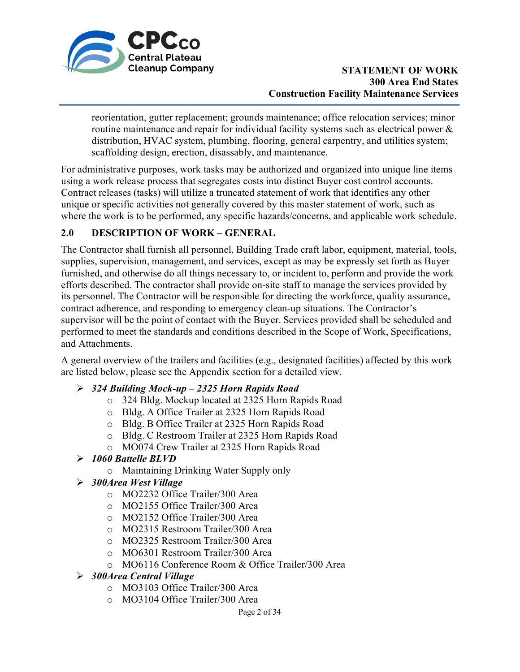

reorientation, gutter replacement; grounds maintenance; office relocation services; minor routine maintenance and repair for individual facility systems such as electrical power & distribution, HVAC system, plumbing, flooring, general carpentry, and utilities system; scaffolding design, erection, disassably, and maintenance.

For administrative purposes, work tasks may be authorized and organized into unique line items using a work release process that segregates costs into distinct Buyer cost control accounts. Contract releases (tasks) will utilize a truncated statement of work that identifies any other unique or specific activities not generally covered by this master statement of work, such as where the work is to be performed, any specific hazards/concerns, and applicable work schedule.

# **2.0 DESCRIPTION OF WORK – GENERAL**

The Contractor shall furnish all personnel, Building Trade craft labor, equipment, material, tools, supplies, supervision, management, and services, except as may be expressly set forth as Buyer furnished, and otherwise do all things necessary to, or incident to, perform and provide the work efforts described. The contractor shall provide on-site staff to manage the services provided by its personnel. The Contractor will be responsible for directing the workforce, quality assurance, contract adherence, and responding to emergency clean-up situations. The Contractor's supervisor will be the point of contact with the Buyer. Services provided shall be scheduled and performed to meet the standards and conditions described in the Scope of Work, Specifications, and Attachments.

A general overview of the trailers and facilities (e.g., designated facilities) affected by this work are listed below, please see the Appendix section for a detailed view.

### *324 Building Mock-up – 2325 Horn Rapids Road*

- o 324 Bldg. Mockup located at 2325 Horn Rapids Road
- o Bldg. A Office Trailer at 2325 Horn Rapids Road
- o Bldg. B Office Trailer at 2325 Horn Rapids Road
- o Bldg. C Restroom Trailer at 2325 Horn Rapids Road
- o MO074 Crew Trailer at 2325 Horn Rapids Road

# *1060 Battelle BLVD*

- o Maintaining Drinking Water Supply only
- *300Area West Village*
	- o MO2232 Office Trailer/300 Area
	- o MO2155 Office Trailer/300 Area
	- o MO2152 Office Trailer/300 Area
	- o MO2315 Restroom Trailer/300 Area
	- o MO2325 Restroom Trailer/300 Area
	- o MO6301 Restroom Trailer/300 Area
	- o MO6116 Conference Room & Office Trailer/300 Area
- *300Area Central Village*
	- o MO3103 Office Trailer/300 Area
	- o MO3104 Office Trailer/300 Area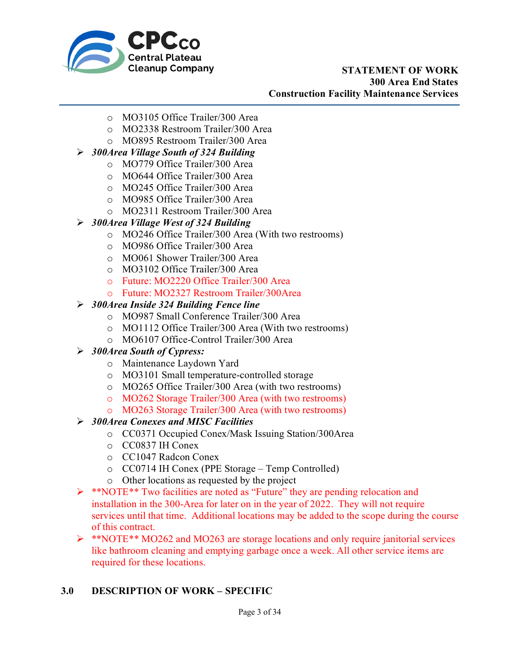

- o MO3105 Office Trailer/300 Area
- o MO2338 Restroom Trailer/300 Area
- o MO895 Restroom Trailer/300 Area
- *300Area Village South of 324 Building*
	- o MO779 Office Trailer/300 Area
	- o MO644 Office Trailer/300 Area
	- o MO245 Office Trailer/300 Area
	- o MO985 Office Trailer/300 Area
	- o MO2311 Restroom Trailer/300 Area
- *300Area Village West of 324 Building*
	- o MO246 Office Trailer/300 Area (With two restrooms)
	- o MO986 Office Trailer/300 Area
	- o MO061 Shower Trailer/300 Area
	- o MO3102 Office Trailer/300 Area
	- o Future: MO2220 Office Trailer/300 Area
	- o Future: MO2327 Restroom Trailer/300Area

#### *300Area Inside 324 Building Fence line*

- o MO987 Small Conference Trailer/300 Area
- o MO1112 Office Trailer/300 Area (With two restrooms)
- o MO6107 Office-Control Trailer/300 Area

### *300Area South of Cypress:*

- o Maintenance Laydown Yard
- o MO3101 Small temperature-controlled storage
- o MO265 Office Trailer/300 Area (with two restrooms)
- o MO262 Storage Trailer/300 Area (with two restrooms)
- o MO263 Storage Trailer/300 Area (with two restrooms)

### *300Area Conexes and MISC Facilities*

- o CC0371 Occupied Conex/Mask Issuing Station/300Area
- o CC0837 IH Conex
- o CC1047 Radcon Conex
- o CC0714 IH Conex (PPE Storage Temp Controlled)
- o Other locations as requested by the project
- \*\*NOTE\*\* Two facilities are noted as "Future" they are pending relocation and installation in the 300-Area for later on in the year of 2022. They will not require services until that time. Additional locations may be added to the scope during the course of this contract.
- \*\*NOTE\*\* MO262 and MO263 are storage locations and only require janitorial services like bathroom cleaning and emptying garbage once a week. All other service items are required for these locations.

### **3.0 DESCRIPTION OF WORK – SPECIFIC**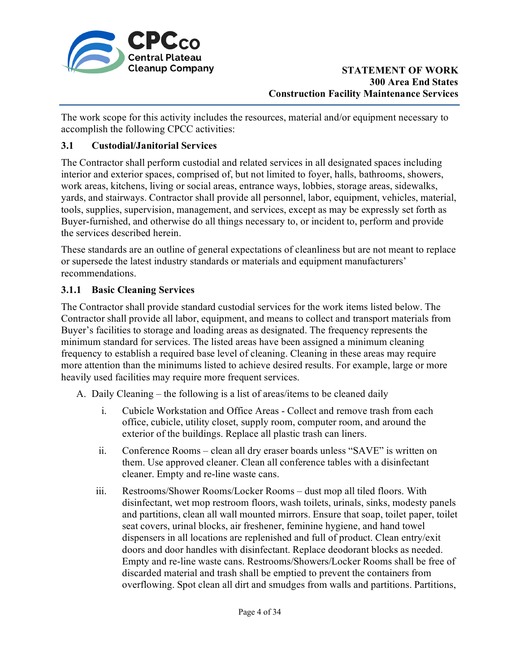

The work scope for this activity includes the resources, material and/or equipment necessary to accomplish the following CPCC activities:

## **3.1 Custodial/Janitorial Services**

The Contractor shall perform custodial and related services in all designated spaces including interior and exterior spaces, comprised of, but not limited to foyer, halls, bathrooms, showers, work areas, kitchens, living or social areas, entrance ways, lobbies, storage areas, sidewalks, yards, and stairways. Contractor shall provide all personnel, labor, equipment, vehicles, material, tools, supplies, supervision, management, and services, except as may be expressly set forth as Buyer-furnished, and otherwise do all things necessary to, or incident to, perform and provide the services described herein.

These standards are an outline of general expectations of cleanliness but are not meant to replace or supersede the latest industry standards or materials and equipment manufacturers' recommendations.

## **3.1.1 Basic Cleaning Services**

The Contractor shall provide standard custodial services for the work items listed below. The Contractor shall provide all labor, equipment, and means to collect and transport materials from Buyer's facilities to storage and loading areas as designated. The frequency represents the minimum standard for services. The listed areas have been assigned a minimum cleaning frequency to establish a required base level of cleaning. Cleaning in these areas may require more attention than the minimums listed to achieve desired results. For example, large or more heavily used facilities may require more frequent services.

A. Daily Cleaning – the following is a list of areas/items to be cleaned daily

- i. Cubicle Workstation and Office Areas Collect and remove trash from each office, cubicle, utility closet, supply room, computer room, and around the exterior of the buildings. Replace all plastic trash can liners.
- ii. Conference Rooms clean all dry eraser boards unless "SAVE" is written on them. Use approved cleaner. Clean all conference tables with a disinfectant cleaner. Empty and re-line waste cans.
- iii. Restrooms/Shower Rooms/Locker Rooms dust mop all tiled floors. With disinfectant, wet mop restroom floors, wash toilets, urinals, sinks, modesty panels and partitions, clean all wall mounted mirrors. Ensure that soap, toilet paper, toilet seat covers, urinal blocks, air freshener, feminine hygiene, and hand towel dispensers in all locations are replenished and full of product. Clean entry/exit doors and door handles with disinfectant. Replace deodorant blocks as needed. Empty and re-line waste cans. Restrooms/Showers/Locker Rooms shall be free of discarded material and trash shall be emptied to prevent the containers from overflowing. Spot clean all dirt and smudges from walls and partitions. Partitions,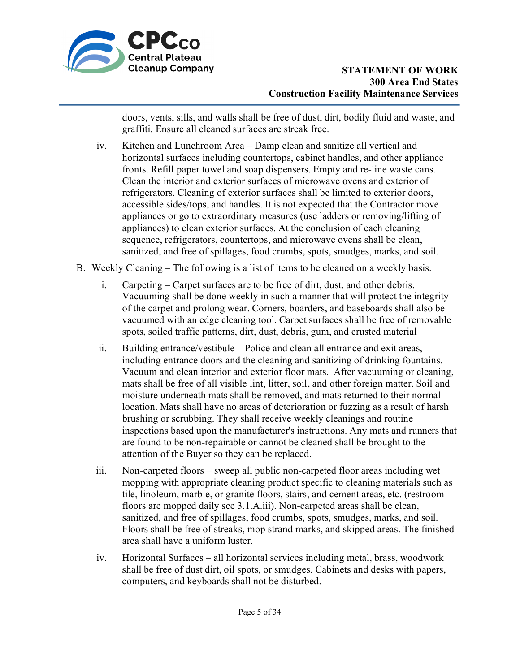

doors, vents, sills, and walls shall be free of dust, dirt, bodily fluid and waste, and graffiti. Ensure all cleaned surfaces are streak free.

- iv. Kitchen and Lunchroom Area Damp clean and sanitize all vertical and horizontal surfaces including countertops, cabinet handles, and other appliance fronts. Refill paper towel and soap dispensers. Empty and re-line waste cans. Clean the interior and exterior surfaces of microwave ovens and exterior of refrigerators. Cleaning of exterior surfaces shall be limited to exterior doors, accessible sides/tops, and handles. It is not expected that the Contractor move appliances or go to extraordinary measures (use ladders or removing/lifting of appliances) to clean exterior surfaces. At the conclusion of each cleaning sequence, refrigerators, countertops, and microwave ovens shall be clean, sanitized, and free of spillages, food crumbs, spots, smudges, marks, and soil.
- B. Weekly Cleaning The following is a list of items to be cleaned on a weekly basis.
	- i. Carpeting Carpet surfaces are to be free of dirt, dust, and other debris. Vacuuming shall be done weekly in such a manner that will protect the integrity of the carpet and prolong wear. Corners, boarders, and baseboards shall also be vacuumed with an edge cleaning tool. Carpet surfaces shall be free of removable spots, soiled traffic patterns, dirt, dust, debris, gum, and crusted material
	- ii. Building entrance/vestibule Police and clean all entrance and exit areas, including entrance doors and the cleaning and sanitizing of drinking fountains. Vacuum and clean interior and exterior floor mats. After vacuuming or cleaning, mats shall be free of all visible lint, litter, soil, and other foreign matter. Soil and moisture underneath mats shall be removed, and mats returned to their normal location. Mats shall have no areas of deterioration or fuzzing as a result of harsh brushing or scrubbing. They shall receive weekly cleanings and routine inspections based upon the manufacturer's instructions. Any mats and runners that are found to be non-repairable or cannot be cleaned shall be brought to the attention of the Buyer so they can be replaced.
	- iii. Non-carpeted floors sweep all public non-carpeted floor areas including wet mopping with appropriate cleaning product specific to cleaning materials such as tile, linoleum, marble, or granite floors, stairs, and cement areas, etc. (restroom floors are mopped daily see 3.1.A.iii). Non-carpeted areas shall be clean, sanitized, and free of spillages, food crumbs, spots, smudges, marks, and soil. Floors shall be free of streaks, mop strand marks, and skipped areas. The finished area shall have a uniform luster.
	- iv. Horizontal Surfaces all horizontal services including metal, brass, woodwork shall be free of dust dirt, oil spots, or smudges. Cabinets and desks with papers, computers, and keyboards shall not be disturbed.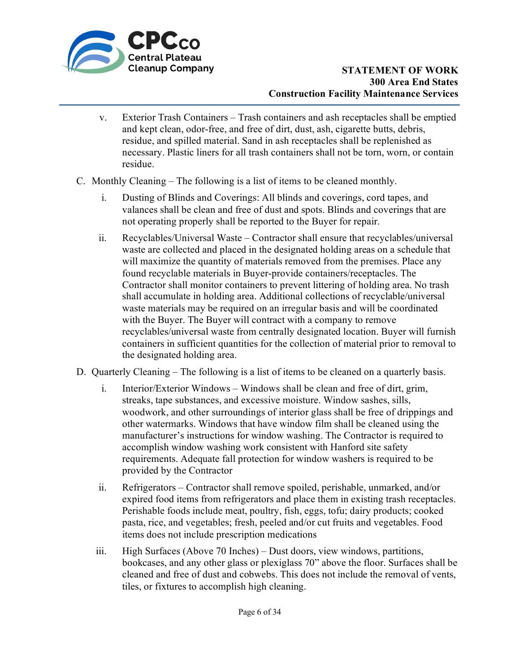

- v. Exterior Trash Containers Trash containers and ash receptacles shall be emptied and kept clean, odor-free, and free of dirt, dust, ash, cigarette butts, debris, residue, and spilled material. Sand in ash receptacles shall be replenished as necessary. Plastic liners for all trash containers shall not be torn, worn, or contain residue.
- C. Monthly Cleaning The following is a list of items to be cleaned monthly.
	- i. Dusting of Blinds and Coverings: All blinds and coverings, cord tapes, and valances shall be clean and free of dust and spots. Blinds and coverings that are not operating properly shall be reported to the Buyer for repair.
	- ii. Recyclables/Universal Waste Contractor shall ensure that recyclables/universal waste are collected and placed in the designated holding areas on a schedule that will maximize the quantity of materials removed from the premises. Place any found recyclable materials in Buyer-provide containers/receptacles. The Contractor shall monitor containers to prevent littering of holding area. No trash shall accumulate in holding area. Additional collections of recyclable/universal waste materials may be required on an irregular basis and will be coordinated with the Buyer. The Buyer will contract with a company to remove recyclables/universal waste from centrally designated location. Buyer will furnish containers in sufficient quantities for the collection of material prior to removal to the designated holding area.
- D. Quarterly Cleaning The following is a list of items to be cleaned on a quarterly basis.
	- i. Interior/Exterior Windows Windows shall be clean and free of dirt, grim, streaks, tape substances, and excessive moisture. Window sashes, sills, woodwork, and other surroundings of interior glass shall be free of drippings and other watermarks. Windows that have window film shall be cleaned using the manufacturer's instructions for window washing. The Contractor is required to accomplish window washing work consistent with Hanford site safety requirements. Adequate fall protection for window washers is required to be provided by the Contractor
	- ii. Refrigerators Contractor shall remove spoiled, perishable, unmarked, and/or expired food items from refrigerators and place them in existing trash receptacles. Perishable foods include meat, poultry, fish, eggs, tofu; dairy products; cooked pasta, rice, and vegetables; fresh, peeled and/or cut fruits and vegetables. Food items does not include prescription medications
	- iii. High Surfaces (Above 70 Inches) Dust doors, view windows, partitions, bookcases, and any other glass or plexiglass 70" above the floor. Surfaces shall be cleaned and free of dust and cobwebs. This does not include the removal of vents, tiles, or fixtures to accomplish high cleaning.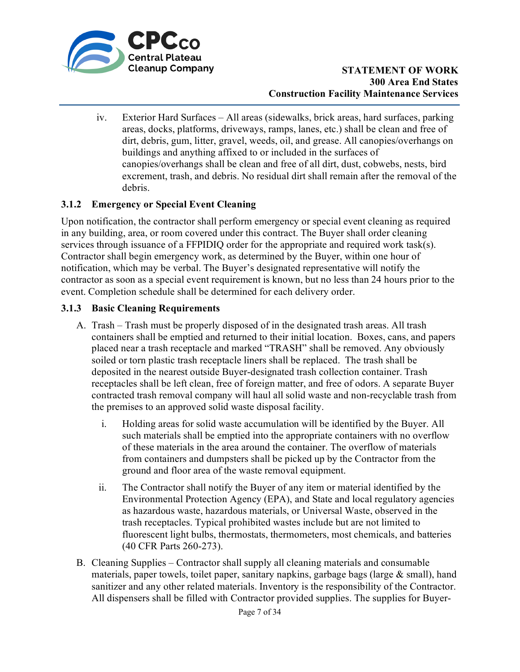

iv. Exterior Hard Surfaces – All areas (sidewalks, brick areas, hard surfaces, parking areas, docks, platforms, driveways, ramps, lanes, etc.) shall be clean and free of dirt, debris, gum, litter, gravel, weeds, oil, and grease. All canopies/overhangs on buildings and anything affixed to or included in the surfaces of canopies/overhangs shall be clean and free of all dirt, dust, cobwebs, nests, bird excrement, trash, and debris. No residual dirt shall remain after the removal of the debris.

## **3.1.2 Emergency or Special Event Cleaning**

Upon notification, the contractor shall perform emergency or special event cleaning as required in any building, area, or room covered under this contract. The Buyer shall order cleaning services through issuance of a FFPIDIQ order for the appropriate and required work task(s). Contractor shall begin emergency work, as determined by the Buyer, within one hour of notification, which may be verbal. The Buyer's designated representative will notify the contractor as soon as a special event requirement is known, but no less than 24 hours prior to the event. Completion schedule shall be determined for each delivery order.

### **3.1.3 Basic Cleaning Requirements**

- A. Trash Trash must be properly disposed of in the designated trash areas. All trash containers shall be emptied and returned to their initial location. Boxes, cans, and papers placed near a trash receptacle and marked "TRASH" shall be removed. Any obviously soiled or torn plastic trash receptacle liners shall be replaced. The trash shall be deposited in the nearest outside Buyer-designated trash collection container. Trash receptacles shall be left clean, free of foreign matter, and free of odors. A separate Buyer contracted trash removal company will haul all solid waste and non-recyclable trash from the premises to an approved solid waste disposal facility.
	- i. Holding areas for solid waste accumulation will be identified by the Buyer. All such materials shall be emptied into the appropriate containers with no overflow of these materials in the area around the container. The overflow of materials from containers and dumpsters shall be picked up by the Contractor from the ground and floor area of the waste removal equipment.
	- ii. The Contractor shall notify the Buyer of any item or material identified by the Environmental Protection Agency (EPA), and State and local regulatory agencies as hazardous waste, hazardous materials, or Universal Waste, observed in the trash receptacles. Typical prohibited wastes include but are not limited to fluorescent light bulbs, thermostats, thermometers, most chemicals, and batteries (40 CFR Parts 260-273).
- B. Cleaning Supplies Contractor shall supply all cleaning materials and consumable materials, paper towels, toilet paper, sanitary napkins, garbage bags (large & small), hand sanitizer and any other related materials. Inventory is the responsibility of the Contractor. All dispensers shall be filled with Contractor provided supplies. The supplies for Buyer-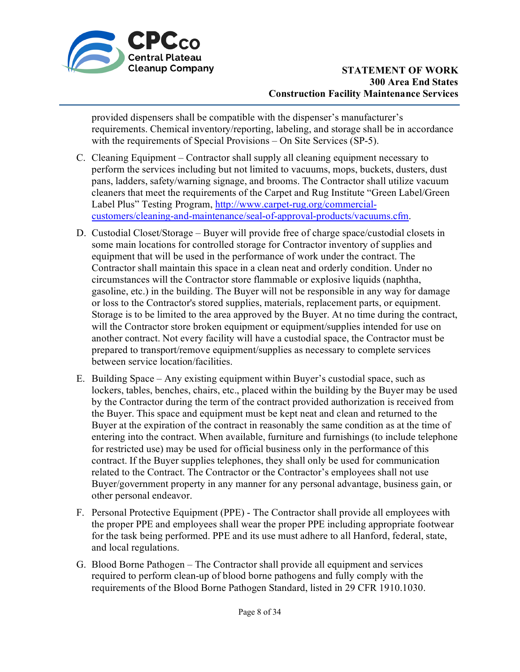

provided dispensers shall be compatible with the dispenser's manufacturer's requirements. Chemical inventory/reporting, labeling, and storage shall be in accordance with the requirements of Special Provisions – On Site Services (SP-5).

- C. Cleaning Equipment Contractor shall supply all cleaning equipment necessary to perform the services including but not limited to vacuums, mops, buckets, dusters, dust pans, ladders, safety/warning signage, and brooms. The Contractor shall utilize vacuum cleaners that meet the requirements of the Carpet and Rug Institute "Green Label/Green Label Plus" Testing Program, [http://www.carpet-rug.org/commercial](http://www.carpet-rug.org/commercial-customers/cleaning-and-maintenance/seal-of-approval-products/vacuums.cfm)[customers/cleaning-and-maintenance/seal-of-approval-products/vacuums.cfm.](http://www.carpet-rug.org/commercial-customers/cleaning-and-maintenance/seal-of-approval-products/vacuums.cfm)
- D. Custodial Closet/Storage Buyer will provide free of charge space/custodial closets in some main locations for controlled storage for Contractor inventory of supplies and equipment that will be used in the performance of work under the contract. The Contractor shall maintain this space in a clean neat and orderly condition. Under no circumstances will the Contractor store flammable or explosive liquids (naphtha, gasoline, etc.) in the building. The Buyer will not be responsible in any way for damage or loss to the Contractor's stored supplies, materials, replacement parts, or equipment. Storage is to be limited to the area approved by the Buyer. At no time during the contract, will the Contractor store broken equipment or equipment/supplies intended for use on another contract. Not every facility will have a custodial space, the Contractor must be prepared to transport/remove equipment/supplies as necessary to complete services between service location/facilities.
- E. Building Space Any existing equipment within Buyer's custodial space, such as lockers, tables, benches, chairs, etc., placed within the building by the Buyer may be used by the Contractor during the term of the contract provided authorization is received from the Buyer. This space and equipment must be kept neat and clean and returned to the Buyer at the expiration of the contract in reasonably the same condition as at the time of entering into the contract. When available, furniture and furnishings (to include telephone for restricted use) may be used for official business only in the performance of this contract. If the Buyer supplies telephones, they shall only be used for communication related to the Contract. The Contractor or the Contractor's employees shall not use Buyer/government property in any manner for any personal advantage, business gain, or other personal endeavor.
- F. Personal Protective Equipment (PPE) The Contractor shall provide all employees with the proper PPE and employees shall wear the proper PPE including appropriate footwear for the task being performed. PPE and its use must adhere to all Hanford, federal, state, and local regulations.
- G. Blood Borne Pathogen The Contractor shall provide all equipment and services required to perform clean-up of blood borne pathogens and fully comply with the requirements of the Blood Borne Pathogen Standard, listed in 29 CFR 1910.1030.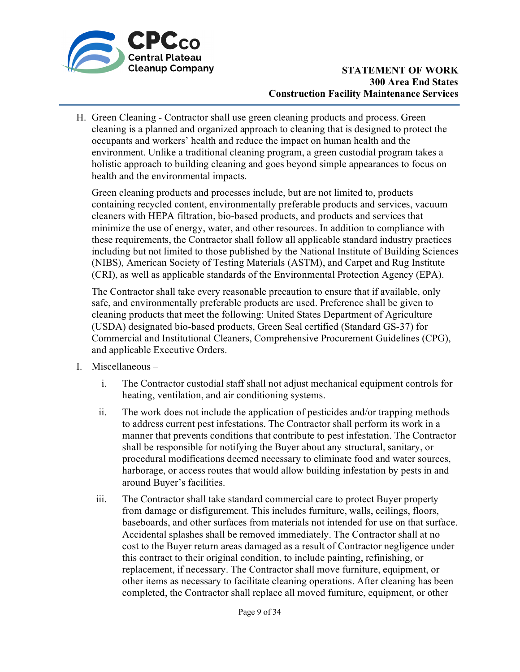

H. Green Cleaning - Contractor shall use green cleaning products and process. Green cleaning is a planned and organized approach to cleaning that is designed to protect the occupants and workers' health and reduce the impact on human health and the environment. Unlike a traditional cleaning program, a green custodial program takes a holistic approach to building cleaning and goes beyond simple appearances to focus on health and the environmental impacts.

Green cleaning products and processes include, but are not limited to, products containing recycled content, environmentally preferable products and services, vacuum cleaners with HEPA filtration, bio-based products, and products and services that minimize the use of energy, water, and other resources. In addition to compliance with these requirements, the Contractor shall follow all applicable standard industry practices including but not limited to those published by the National Institute of Building Sciences (NIBS), American Society of Testing Materials (ASTM), and Carpet and Rug Institute (CRI), as well as applicable standards of the Environmental Protection Agency (EPA).

The Contractor shall take every reasonable precaution to ensure that if available, only safe, and environmentally preferable products are used. Preference shall be given to cleaning products that meet the following: United States Department of Agriculture (USDA) designated bio-based products, Green Seal certified (Standard GS-37) for Commercial and Institutional Cleaners, Comprehensive Procurement Guidelines (CPG), and applicable Executive Orders.

- I. Miscellaneous
	- i. The Contractor custodial staff shall not adjust mechanical equipment controls for heating, ventilation, and air conditioning systems.
	- ii. The work does not include the application of pesticides and/or trapping methods to address current pest infestations. The Contractor shall perform its work in a manner that prevents conditions that contribute to pest infestation. The Contractor shall be responsible for notifying the Buyer about any structural, sanitary, or procedural modifications deemed necessary to eliminate food and water sources, harborage, or access routes that would allow building infestation by pests in and around Buyer's facilities.
	- iii. The Contractor shall take standard commercial care to protect Buyer property from damage or disfigurement. This includes furniture, walls, ceilings, floors, baseboards, and other surfaces from materials not intended for use on that surface. Accidental splashes shall be removed immediately. The Contractor shall at no cost to the Buyer return areas damaged as a result of Contractor negligence under this contract to their original condition, to include painting, refinishing, or replacement, if necessary. The Contractor shall move furniture, equipment, or other items as necessary to facilitate cleaning operations. After cleaning has been completed, the Contractor shall replace all moved furniture, equipment, or other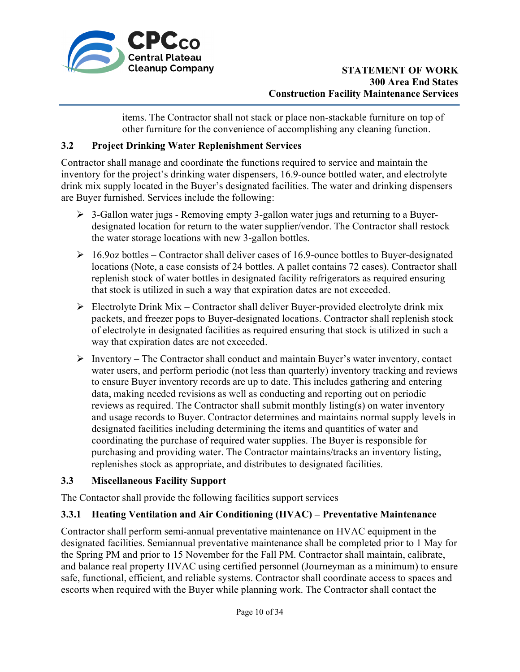

items. The Contractor shall not stack or place non-stackable furniture on top of other furniture for the convenience of accomplishing any cleaning function.

## **3.2 Project Drinking Water Replenishment Services**

Contractor shall manage and coordinate the functions required to service and maintain the inventory for the project's drinking water dispensers, 16.9-ounce bottled water, and electrolyte drink mix supply located in the Buyer's designated facilities. The water and drinking dispensers are Buyer furnished. Services include the following:

- 3-Gallon water jugs Removing empty 3-gallon water jugs and returning to a Buyerdesignated location for return to the water supplier/vendor. The Contractor shall restock the water storage locations with new 3-gallon bottles.
- $\geq 16.9$ oz bottles Contractor shall deliver cases of 16.9-ounce bottles to Buyer-designated locations (Note, a case consists of 24 bottles. A pallet contains 72 cases). Contractor shall replenish stock of water bottles in designated facility refrigerators as required ensuring that stock is utilized in such a way that expiration dates are not exceeded.
- $\triangleright$  Electrolyte Drink Mix Contractor shall deliver Buyer-provided electrolyte drink mix packets, and freezer pops to Buyer-designated locations. Contractor shall replenish stock of electrolyte in designated facilities as required ensuring that stock is utilized in such a way that expiration dates are not exceeded.
- $\triangleright$  Inventory The Contractor shall conduct and maintain Buyer's water inventory, contact water users, and perform periodic (not less than quarterly) inventory tracking and reviews to ensure Buyer inventory records are up to date. This includes gathering and entering data, making needed revisions as well as conducting and reporting out on periodic reviews as required. The Contractor shall submit monthly listing(s) on water inventory and usage records to Buyer. Contractor determines and maintains normal supply levels in designated facilities including determining the items and quantities of water and coordinating the purchase of required water supplies. The Buyer is responsible for purchasing and providing water. The Contractor maintains/tracks an inventory listing, replenishes stock as appropriate, and distributes to designated facilities.

# **3.3 Miscellaneous Facility Support**

The Contactor shall provide the following facilities support services

# **3.3.1 Heating Ventilation and Air Conditioning (HVAC) – Preventative Maintenance**

Contractor shall perform semi-annual preventative maintenance on HVAC equipment in the designated facilities. Semiannual preventative maintenance shall be completed prior to 1 May for the Spring PM and prior to 15 November for the Fall PM. Contractor shall maintain, calibrate, and balance real property HVAC using certified personnel (Journeyman as a minimum) to ensure safe, functional, efficient, and reliable systems. Contractor shall coordinate access to spaces and escorts when required with the Buyer while planning work. The Contractor shall contact the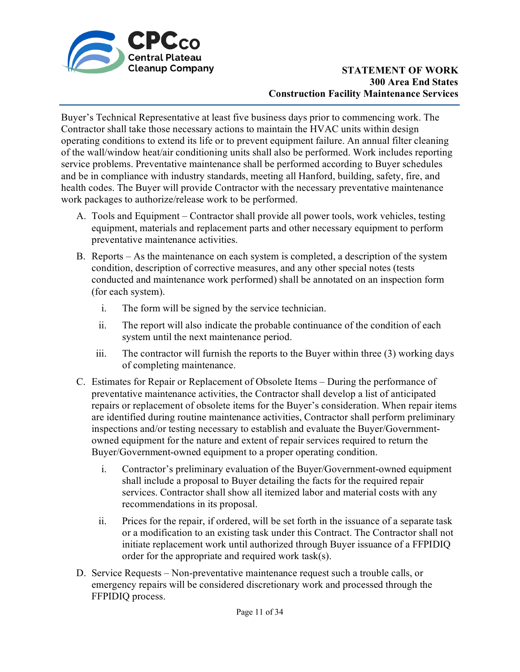

Buyer's Technical Representative at least five business days prior to commencing work. The Contractor shall take those necessary actions to maintain the HVAC units within design operating conditions to extend its life or to prevent equipment failure. An annual filter cleaning of the wall/window heat/air conditioning units shall also be performed. Work includes reporting service problems. Preventative maintenance shall be performed according to Buyer schedules and be in compliance with industry standards, meeting all Hanford, building, safety, fire, and health codes. The Buyer will provide Contractor with the necessary preventative maintenance work packages to authorize/release work to be performed.

- A. Tools and Equipment Contractor shall provide all power tools, work vehicles, testing equipment, materials and replacement parts and other necessary equipment to perform preventative maintenance activities.
- B. Reports As the maintenance on each system is completed, a description of the system condition, description of corrective measures, and any other special notes (tests conducted and maintenance work performed) shall be annotated on an inspection form (for each system).
	- i. The form will be signed by the service technician.
	- ii. The report will also indicate the probable continuance of the condition of each system until the next maintenance period.
	- iii. The contractor will furnish the reports to the Buyer within three (3) working days of completing maintenance.
- C. Estimates for Repair or Replacement of Obsolete Items During the performance of preventative maintenance activities, the Contractor shall develop a list of anticipated repairs or replacement of obsolete items for the Buyer's consideration. When repair items are identified during routine maintenance activities, Contractor shall perform preliminary inspections and/or testing necessary to establish and evaluate the Buyer/Governmentowned equipment for the nature and extent of repair services required to return the Buyer/Government-owned equipment to a proper operating condition.
	- i. Contractor's preliminary evaluation of the Buyer/Government-owned equipment shall include a proposal to Buyer detailing the facts for the required repair services. Contractor shall show all itemized labor and material costs with any recommendations in its proposal.
	- ii. Prices for the repair, if ordered, will be set forth in the issuance of a separate task or a modification to an existing task under this Contract. The Contractor shall not initiate replacement work until authorized through Buyer issuance of a FFPIDIQ order for the appropriate and required work task(s).
- D. Service Requests Non-preventative maintenance request such a trouble calls, or emergency repairs will be considered discretionary work and processed through the FFPIDIQ process.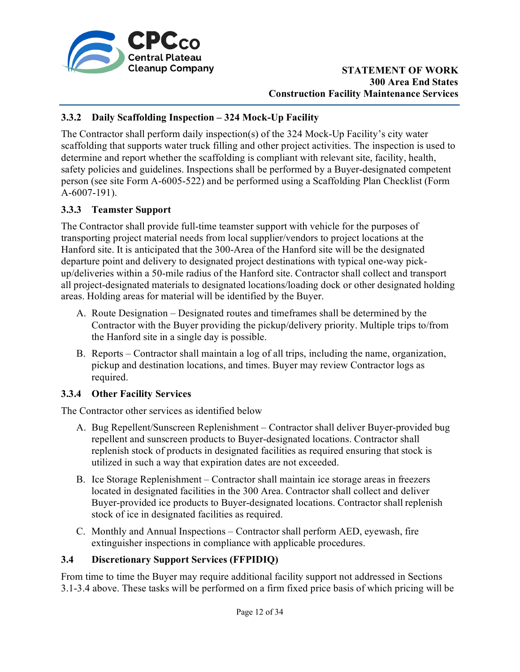

## **3.3.2 Daily Scaffolding Inspection – 324 Mock-Up Facility**

The Contractor shall perform daily inspection(s) of the 324 Mock-Up Facility's city water scaffolding that supports water truck filling and other project activities. The inspection is used to determine and report whether the scaffolding is compliant with relevant site, facility, health, safety policies and guidelines. Inspections shall be performed by a Buyer-designated competent person (see site Form A-6005-522) and be performed using a Scaffolding Plan Checklist (Form A-6007-191).

## **3.3.3 Teamster Support**

The Contractor shall provide full-time teamster support with vehicle for the purposes of transporting project material needs from local supplier/vendors to project locations at the Hanford site. It is anticipated that the 300-Area of the Hanford site will be the designated departure point and delivery to designated project destinations with typical one-way pickup/deliveries within a 50-mile radius of the Hanford site. Contractor shall collect and transport all project-designated materials to designated locations/loading dock or other designated holding areas. Holding areas for material will be identified by the Buyer.

- A. Route Designation Designated routes and timeframes shall be determined by the Contractor with the Buyer providing the pickup/delivery priority. Multiple trips to/from the Hanford site in a single day is possible.
- B. Reports Contractor shall maintain a log of all trips, including the name, organization, pickup and destination locations, and times. Buyer may review Contractor logs as required.

### **3.3.4 Other Facility Services**

The Contractor other services as identified below

- A. Bug Repellent/Sunscreen Replenishment Contractor shall deliver Buyer-provided bug repellent and sunscreen products to Buyer-designated locations. Contractor shall replenish stock of products in designated facilities as required ensuring that stock is utilized in such a way that expiration dates are not exceeded.
- B. Ice Storage Replenishment Contractor shall maintain ice storage areas in freezers located in designated facilities in the 300 Area. Contractor shall collect and deliver Buyer-provided ice products to Buyer-designated locations. Contractor shall replenish stock of ice in designated facilities as required.
- C. Monthly and Annual Inspections Contractor shall perform AED, eyewash, fire extinguisher inspections in compliance with applicable procedures.

### **3.4 Discretionary Support Services (FFPIDIQ)**

From time to time the Buyer may require additional facility support not addressed in Sections 3.1-3.4 above. These tasks will be performed on a firm fixed price basis of which pricing will be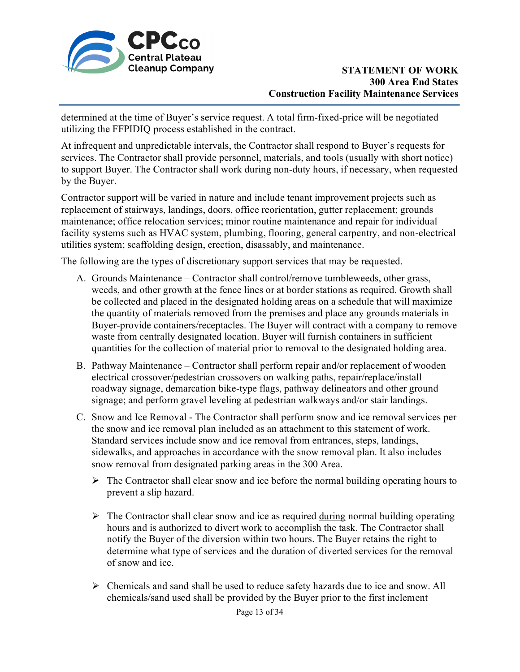

 determined at the time of Buyer's service request. A total firm-fixed-price will be negotiated utilizing the FFPIDIQ process established in the contract.

At infrequent and unpredictable intervals, the Contractor shall respond to Buyer's requests for services. The Contractor shall provide personnel, materials, and tools (usually with short notice) to support Buyer. The Contractor shall work during non-duty hours, if necessary, when requested by the Buyer.

Contractor support will be varied in nature and include tenant improvement projects such as replacement of stairways, landings, doors, office reorientation, gutter replacement; grounds maintenance; office relocation services; minor routine maintenance and repair for individual facility systems such as HVAC system, plumbing, flooring, general carpentry, and non-electrical utilities system; scaffolding design, erection, disassably, and maintenance.

The following are the types of discretionary support services that may be requested.

- A. Grounds Maintenance Contractor shall control/remove tumbleweeds, other grass, weeds, and other growth at the fence lines or at border stations as required. Growth shall be collected and placed in the designated holding areas on a schedule that will maximize the quantity of materials removed from the premises and place any grounds materials in Buyer-provide containers/receptacles. The Buyer will contract with a company to remove waste from centrally designated location. Buyer will furnish containers in sufficient quantities for the collection of material prior to removal to the designated holding area.
- B. Pathway Maintenance Contractor shall perform repair and/or replacement of wooden electrical crossover/pedestrian crossovers on walking paths, repair/replace/install roadway signage, demarcation bike-type flags, pathway delineators and other ground signage; and perform gravel leveling at pedestrian walkways and/or stair landings.
- C. Snow and Ice Removal The Contractor shall perform snow and ice removal services per the snow and ice removal plan included as an attachment to this statement of work. Standard services include snow and ice removal from entrances, steps, landings, sidewalks, and approaches in accordance with the snow removal plan. It also includes snow removal from designated parking areas in the 300 Area.
	- $\triangleright$  The Contractor shall clear snow and ice before the normal building operating hours to prevent a slip hazard.
	- $\triangleright$  The Contractor shall clear snow and ice as required during normal building operating hours and is authorized to divert work to accomplish the task. The Contractor shall notify the Buyer of the diversion within two hours. The Buyer retains the right to determine what type of services and the duration of diverted services for the removal of snow and ice.
	- $\triangleright$  Chemicals and sand shall be used to reduce safety hazards due to ice and snow. All chemicals/sand used shall be provided by the Buyer prior to the first inclement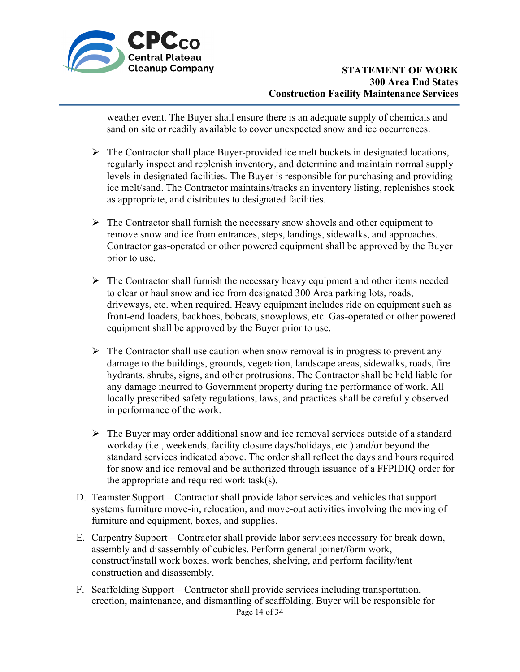

weather event. The Buyer shall ensure there is an adequate supply of chemicals and sand on site or readily available to cover unexpected snow and ice occurrences.

- $\triangleright$  The Contractor shall place Buyer-provided ice melt buckets in designated locations, regularly inspect and replenish inventory, and determine and maintain normal supply levels in designated facilities. The Buyer is responsible for purchasing and providing ice melt/sand. The Contractor maintains/tracks an inventory listing, replenishes stock as appropriate, and distributes to designated facilities.
- $\triangleright$  The Contractor shall furnish the necessary snow shovels and other equipment to remove snow and ice from entrances, steps, landings, sidewalks, and approaches. Contractor gas-operated or other powered equipment shall be approved by the Buyer prior to use.
- $\triangleright$  The Contractor shall furnish the necessary heavy equipment and other items needed to clear or haul snow and ice from designated 300 Area parking lots, roads, driveways, etc. when required. Heavy equipment includes ride on equipment such as front-end loaders, backhoes, bobcats, snowplows, etc. Gas-operated or other powered equipment shall be approved by the Buyer prior to use.
- $\triangleright$  The Contractor shall use caution when snow removal is in progress to prevent any damage to the buildings, grounds, vegetation, landscape areas, sidewalks, roads, fire hydrants, shrubs, signs, and other protrusions. The Contractor shall be held liable for any damage incurred to Government property during the performance of work. All locally prescribed safety regulations, laws, and practices shall be carefully observed in performance of the work.
- $\triangleright$  The Buyer may order additional snow and ice removal services outside of a standard workday (i.e., weekends, facility closure days/holidays, etc.) and/or beyond the standard services indicated above. The order shall reflect the days and hours required for snow and ice removal and be authorized through issuance of a FFPIDIQ order for the appropriate and required work task(s).
- D. Teamster Support Contractor shall provide labor services and vehicles that support systems furniture move-in, relocation, and move-out activities involving the moving of furniture and equipment, boxes, and supplies.
- E. Carpentry Support Contractor shall provide labor services necessary for break down, assembly and disassembly of cubicles. Perform general joiner/form work, construct/install work boxes, work benches, shelving, and perform facility/tent construction and disassembly.
- Page 14 of 34 F. Scaffolding Support – Contractor shall provide services including transportation, erection, maintenance, and dismantling of scaffolding. Buyer will be responsible for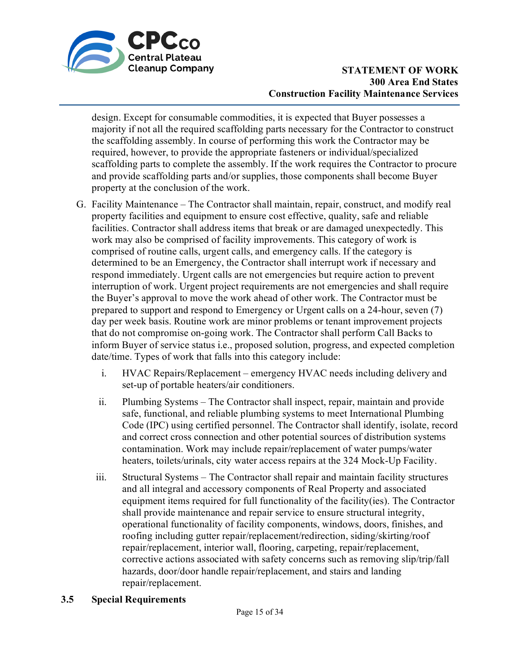

design. Except for consumable commodities, it is expected that Buyer possesses a majority if not all the required scaffolding parts necessary for the Contractor to construct the scaffolding assembly. In course of performing this work the Contractor may be required, however, to provide the appropriate fasteners or individual/specialized scaffolding parts to complete the assembly. If the work requires the Contractor to procure and provide scaffolding parts and/or supplies, those components shall become Buyer property at the conclusion of the work.

- G. Facility Maintenance The Contractor shall maintain, repair, construct, and modify real property facilities and equipment to ensure cost effective, quality, safe and reliable facilities. Contractor shall address items that break or are damaged unexpectedly. This work may also be comprised of facility improvements. This category of work is comprised of routine calls, urgent calls, and emergency calls. If the category is determined to be an Emergency, the Contractor shall interrupt work if necessary and respond immediately. Urgent calls are not emergencies but require action to prevent interruption of work. Urgent project requirements are not emergencies and shall require the Buyer's approval to move the work ahead of other work. The Contractor must be prepared to support and respond to Emergency or Urgent calls on a 24-hour, seven (7) day per week basis. Routine work are minor problems or tenant improvement projects that do not compromise on-going work. The Contractor shall perform Call Backs to inform Buyer of service status i.e., proposed solution, progress, and expected completion date/time. Types of work that falls into this category include:
	- i. HVAC Repairs/Replacement emergency HVAC needs including delivery and set-up of portable heaters/air conditioners.
	- ii. Plumbing Systems The Contractor shall inspect, repair, maintain and provide safe, functional, and reliable plumbing systems to meet International Plumbing Code (IPC) using certified personnel. The Contractor shall identify, isolate, record and correct cross connection and other potential sources of distribution systems contamination. Work may include repair/replacement of water pumps/water heaters, toilets/urinals, city water access repairs at the 324 Mock-Up Facility.
	- iii. Structural Systems The Contractor shall repair and maintain facility structures and all integral and accessory components of Real Property and associated equipment items required for full functionality of the facility(ies). The Contractor shall provide maintenance and repair service to ensure structural integrity, operational functionality of facility components, windows, doors, finishes, and roofing including gutter repair/replacement/redirection, siding/skirting/roof repair/replacement, interior wall, flooring, carpeting, repair/replacement, corrective actions associated with safety concerns such as removing slip/trip/fall hazards, door/door handle repair/replacement, and stairs and landing repair/replacement.

### **3.5 Special Requirements**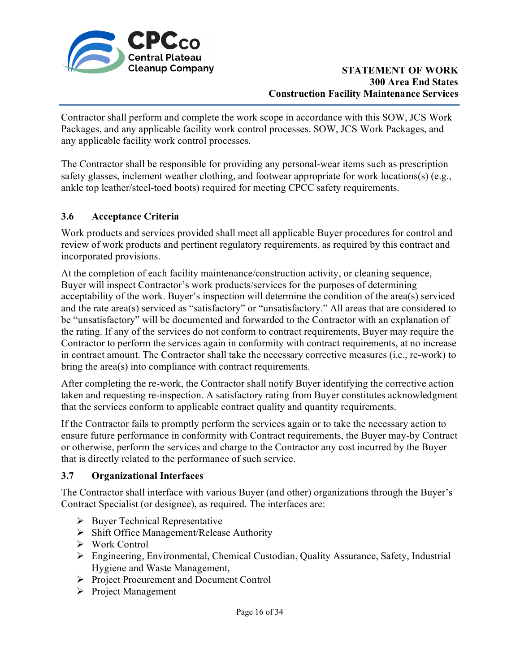

Contractor shall perform and complete the work scope in accordance with this SOW, JCS Work Packages, and any applicable facility work control processes. SOW, JCS Work Packages, and any applicable facility work control processes.

The Contractor shall be responsible for providing any personal-wear items such as prescription safety glasses, inclement weather clothing, and footwear appropriate for work locations(s) (e.g., ankle top leather/steel-toed boots) required for meeting CPCC safety requirements.

## **3.6 Acceptance Criteria**

Work products and services provided shall meet all applicable Buyer procedures for control and review of work products and pertinent regulatory requirements, as required by this contract and incorporated provisions.

At the completion of each facility maintenance/construction activity, or cleaning sequence, Buyer will inspect Contractor's work products/services for the purposes of determining acceptability of the work. Buyer's inspection will determine the condition of the area(s) serviced and the rate area(s) serviced as "satisfactory" or "unsatisfactory." All areas that are considered to be "unsatisfactory" will be documented and forwarded to the Contractor with an explanation of the rating. If any of the services do not conform to contract requirements, Buyer may require the Contractor to perform the services again in conformity with contract requirements, at no increase in contract amount. The Contractor shall take the necessary corrective measures (i.e., re-work) to bring the area(s) into compliance with contract requirements.

After completing the re-work, the Contractor shall notify Buyer identifying the corrective action taken and requesting re-inspection. A satisfactory rating from Buyer constitutes acknowledgment that the services conform to applicable contract quality and quantity requirements.

If the Contractor fails to promptly perform the services again or to take the necessary action to ensure future performance in conformity with Contract requirements, the Buyer may-by Contract or otherwise, perform the services and charge to the Contractor any cost incurred by the Buyer that is directly related to the performance of such service.

### **3.7 Organizational Interfaces**

The Contractor shall interface with various Buyer (and other) organizations through the Buyer's Contract Specialist (or designee), as required. The interfaces are:

- $\triangleright$  Buyer Technical Representative
- $\triangleright$  Shift Office Management/Release Authority
- Work Control
- Engineering, Environmental, Chemical Custodian, Quality Assurance, Safety, Industrial Hygiene and Waste Management,
- Project Procurement and Document Control
- $\triangleright$  Project Management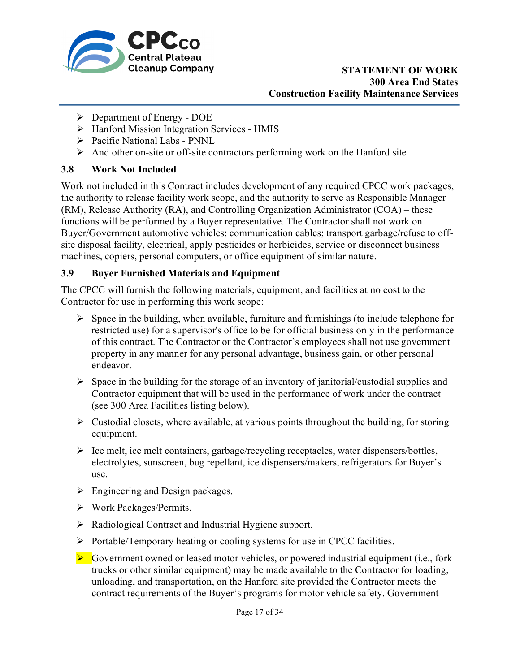

- $\triangleright$  Department of Energy DOE
- $\triangleright$  Hanford Mission Integration Services HMIS
- Pacific National Labs PNNL
- $\triangleright$  And other on-site or off-site contractors performing work on the Hanford site

## **3.8 Work Not Included**

Work not included in this Contract includes development of any required CPCC work packages, the authority to release facility work scope, and the authority to serve as Responsible Manager (RM), Release Authority (RA), and Controlling Organization Administrator (COA) – these functions will be performed by a Buyer representative. The Contractor shall not work on Buyer/Government automotive vehicles; communication cables; transport garbage/refuse to offsite disposal facility, electrical, apply pesticides or herbicides, service or disconnect business machines, copiers, personal computers, or office equipment of similar nature.

## **3.9 Buyer Furnished Materials and Equipment**

The CPCC will furnish the following materials, equipment, and facilities at no cost to the Contractor for use in performing this work scope:

- $\triangleright$  Space in the building, when available, furniture and furnishings (to include telephone for restricted use) for a supervisor's office to be for official business only in the performance of this contract. The Contractor or the Contractor's employees shall not use government property in any manner for any personal advantage, business gain, or other personal endeavor.
- $\triangleright$  Space in the building for the storage of an inventory of janitorial/custodial supplies and Contractor equipment that will be used in the performance of work under the contract (see 300 Area Facilities listing below).
- $\triangleright$  Custodial closets, where available, at various points throughout the building, for storing equipment.
- $\triangleright$  Ice melt, ice melt containers, garbage/recycling receptacles, water dispensers/bottles, electrolytes, sunscreen, bug repellant, ice dispensers/makers, refrigerators for Buyer's use.
- $\triangleright$  Engineering and Design packages.
- Work Packages/Permits.
- Radiological Contract and Industrial Hygiene support.
- $\triangleright$  Portable/Temporary heating or cooling systems for use in CPCC facilities.
- $\triangleright$  Government owned or leased motor vehicles, or powered industrial equipment (i.e., fork trucks or other similar equipment) may be made available to the Contractor for loading, unloading, and transportation, on the Hanford site provided the Contractor meets the contract requirements of the Buyer's programs for motor vehicle safety. Government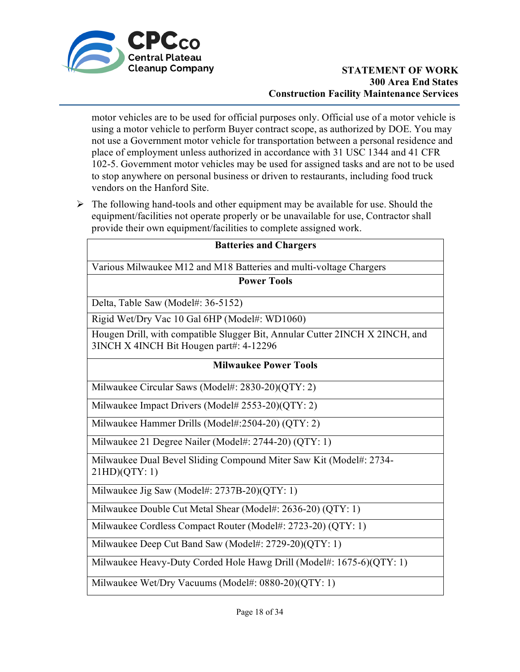

motor vehicles are to be used for official purposes only. Official use of a motor vehicle is using a motor vehicle to perform Buyer contract scope, as authorized by DOE. You may not use a Government motor vehicle for transportation between a personal residence and place of employment unless authorized in accordance with 31 USC 1344 and 41 CFR 102-5. Government motor vehicles may be used for assigned tasks and are not to be used to stop anywhere on personal business or driven to restaurants, including food truck vendors on the Hanford Site.

 $\triangleright$  The following hand-tools and other equipment may be available for use. Should the equipment/facilities not operate properly or be unavailable for use, Contractor shall provide their own equipment/facilities to complete assigned work.

| <b>Batteries and Chargers</b>                                                                                           |
|-------------------------------------------------------------------------------------------------------------------------|
| Various Milwaukee M12 and M18 Batteries and multi-voltage Chargers                                                      |
| <b>Power Tools</b>                                                                                                      |
| Delta, Table Saw (Model#: 36-5152)                                                                                      |
| Rigid Wet/Dry Vac 10 Gal 6HP (Model#: WD1060)                                                                           |
| Hougen Drill, with compatible Slugger Bit, Annular Cutter 2INCH X 2INCH, and<br>3INCH X 4INCH Bit Hougen part#: 4-12296 |
| <b>Milwaukee Power Tools</b>                                                                                            |
| Milwaukee Circular Saws (Model#: 2830-20)(QTY: 2)                                                                       |
| Milwaukee Impact Drivers (Model# 2553-20)(QTY: 2)                                                                       |
| Milwaukee Hammer Drills (Model#:2504-20) (QTY: 2)                                                                       |
| Milwaukee 21 Degree Nailer (Model#: 2744-20) (QTY: 1)                                                                   |
| Milwaukee Dual Bevel Sliding Compound Miter Saw Kit (Model#: 2734-<br>21HD)(QTY:1)                                      |
| Milwaukee Jig Saw (Model#: 2737B-20)(QTY: 1)                                                                            |
| Milwaukee Double Cut Metal Shear (Model#: 2636-20) (QTY: 1)                                                             |
| Milwaukee Cordless Compact Router (Model#: 2723-20) (QTY: 1)                                                            |
| Milwaukee Deep Cut Band Saw (Model#: 2729-20)(QTY: 1)                                                                   |
| Milwaukee Heavy-Duty Corded Hole Hawg Drill (Model#: 1675-6)(QTY: 1)                                                    |

Milwaukee Wet/Dry Vacuums (Model#: 0880-20)(QTY: 1)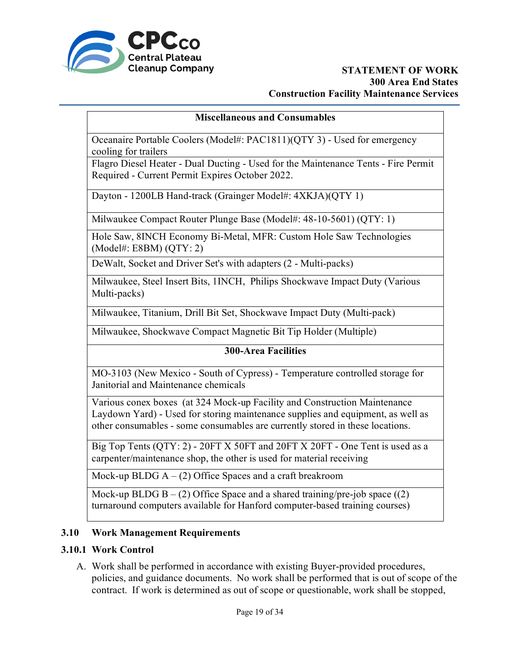

#### **Miscellaneous and Consumables**

Oceanaire Portable Coolers (Model#: PAC1811)(QTY 3) - Used for emergency cooling for trailers

Flagro Diesel Heater - Dual Ducting - Used for the Maintenance Tents - Fire Permit Required - Current Permit Expires October 2022.

Dayton - 1200LB Hand-track (Grainger Model#: 4XKJA)(QTY 1)

Milwaukee Compact Router Plunge Base (Model#: 48-10-5601) (QTY: 1)

Hole Saw, 8INCH Economy Bi-Metal, MFR: Custom Hole Saw Technologies (Model#: E8BM) (QTY: 2)

DeWalt, Socket and Driver Set's with adapters (2 - Multi-packs)

Milwaukee, Steel Insert Bits, 1INCH, Philips Shockwave Impact Duty (Various Multi-packs)

Milwaukee, Titanium, Drill Bit Set, Shockwave Impact Duty (Multi-pack)

Milwaukee, Shockwave Compact Magnetic Bit Tip Holder (Multiple)

#### **300-Area Facilities**

MO-3103 (New Mexico - South of Cypress) - Temperature controlled storage for Janitorial and Maintenance chemicals

Various conex boxes (at 324 Mock-up Facility and Construction Maintenance Laydown Yard) - Used for storing maintenance supplies and equipment, as well as other consumables - some consumables are currently stored in these locations.

Big Top Tents (QTY: 2) - 20FT X 50FT and 20FT X 20FT - One Tent is used as a carpenter/maintenance shop, the other is used for material receiving

Mock-up BLDG  $A - (2)$  Office Spaces and a craft breakroom

Mock-up BLDG  $B - (2)$  Office Space and a shared training/pre-job space  $((2)$ turnaround computers available for Hanford computer-based training courses)

### **3.10 Work Management Requirements**

### **3.10.1 Work Control**

A. Work shall be performed in accordance with existing Buyer-provided procedures, policies, and guidance documents. No work shall be performed that is out of scope of the contract. If work is determined as out of scope or questionable, work shall be stopped,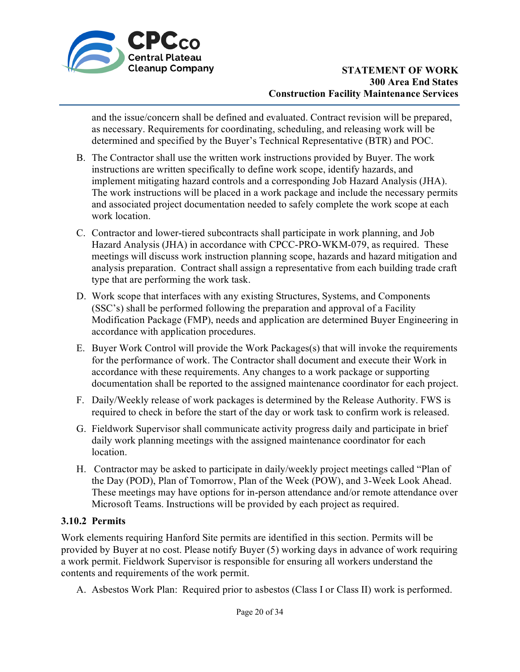

and the issue/concern shall be defined and evaluated. Contract revision will be prepared, as necessary. Requirements for coordinating, scheduling, and releasing work will be determined and specified by the Buyer's Technical Representative (BTR) and POC.

- B. The Contractor shall use the written work instructions provided by Buyer. The work instructions are written specifically to define work scope, identify hazards, and implement mitigating hazard controls and a corresponding Job Hazard Analysis (JHA). The work instructions will be placed in a work package and include the necessary permits and associated project documentation needed to safely complete the work scope at each work location.
- C. Contractor and lower-tiered subcontracts shall participate in work planning, and Job Hazard Analysis (JHA) in accordance with CPCC-PRO-WKM-079, as required. These meetings will discuss work instruction planning scope, hazards and hazard mitigation and analysis preparation. Contract shall assign a representative from each building trade craft type that are performing the work task.
- D. Work scope that interfaces with any existing Structures, Systems, and Components (SSC's) shall be performed following the preparation and approval of a Facility Modification Package (FMP), needs and application are determined Buyer Engineering in accordance with application procedures.
- E. Buyer Work Control will provide the Work Packages(s) that will invoke the requirements for the performance of work. The Contractor shall document and execute their Work in accordance with these requirements. Any changes to a work package or supporting documentation shall be reported to the assigned maintenance coordinator for each project.
- F. Daily/Weekly release of work packages is determined by the Release Authority. FWS is required to check in before the start of the day or work task to confirm work is released.
- G. Fieldwork Supervisor shall communicate activity progress daily and participate in brief daily work planning meetings with the assigned maintenance coordinator for each location.
- H. Contractor may be asked to participate in daily/weekly project meetings called "Plan of the Day (POD), Plan of Tomorrow, Plan of the Week (POW), and 3-Week Look Ahead. These meetings may have options for in-person attendance and/or remote attendance over Microsoft Teams. Instructions will be provided by each project as required.

# **3.10.2 Permits**

Work elements requiring Hanford Site permits are identified in this section. Permits will be provided by Buyer at no cost. Please notify Buyer (5) working days in advance of work requiring a work permit. Fieldwork Supervisor is responsible for ensuring all workers understand the contents and requirements of the work permit.

A. Asbestos Work Plan: Required prior to asbestos (Class I or Class II) work is performed.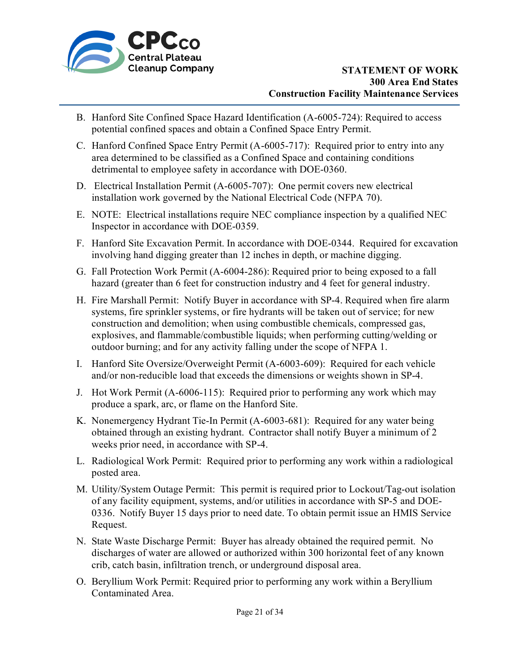

- B. Hanford Site Confined Space Hazard Identification (A-6005-724): Required to access potential confined spaces and obtain a Confined Space Entry Permit.
- C. Hanford Confined Space Entry Permit (A-6005-717): Required prior to entry into any area determined to be classified as a Confined Space and containing conditions detrimental to employee safety in accordance with DOE-0360.
- D. Electrical Installation Permit (A-6005-707): One permit covers new electrical installation work governed by the National Electrical Code (NFPA 70).
- E. NOTE: Electrical installations require NEC compliance inspection by a qualified NEC Inspector in accordance with DOE-0359.
- F. Hanford Site Excavation Permit. In accordance with DOE-0344. Required for excavation involving hand digging greater than 12 inches in depth, or machine digging.
- G. Fall Protection Work Permit (A-6004-286): Required prior to being exposed to a fall hazard (greater than 6 feet for construction industry and 4 feet for general industry.
- H. Fire Marshall Permit: Notify Buyer in accordance with SP-4. Required when fire alarm systems, fire sprinkler systems, or fire hydrants will be taken out of service; for new construction and demolition; when using combustible chemicals, compressed gas, explosives, and flammable/combustible liquids; when performing cutting/welding or outdoor burning; and for any activity falling under the scope of NFPA 1.
- I. Hanford Site Oversize/Overweight Permit (A-6003-609): Required for each vehicle and/or non-reducible load that exceeds the dimensions or weights shown in SP-4.
- J. Hot Work Permit (A-6006-115): Required prior to performing any work which may produce a spark, arc, or flame on the Hanford Site.
- K. Nonemergency Hydrant Tie-In Permit (A-6003-681): Required for any water being obtained through an existing hydrant. Contractor shall notify Buyer a minimum of 2 weeks prior need, in accordance with SP-4.
- L. Radiological Work Permit: Required prior to performing any work within a radiological posted area.
- M. Utility/System Outage Permit: This permit is required prior to Lockout/Tag-out isolation of any facility equipment, systems, and/or utilities in accordance with SP-5 and DOE-0336. Notify Buyer 15 days prior to need date. To obtain permit issue an HMIS Service Request.
- N. State Waste Discharge Permit: Buyer has already obtained the required permit. No discharges of water are allowed or authorized within 300 horizontal feet of any known crib, catch basin, infiltration trench, or underground disposal area.
- O. Beryllium Work Permit: Required prior to performing any work within a Beryllium Contaminated Area.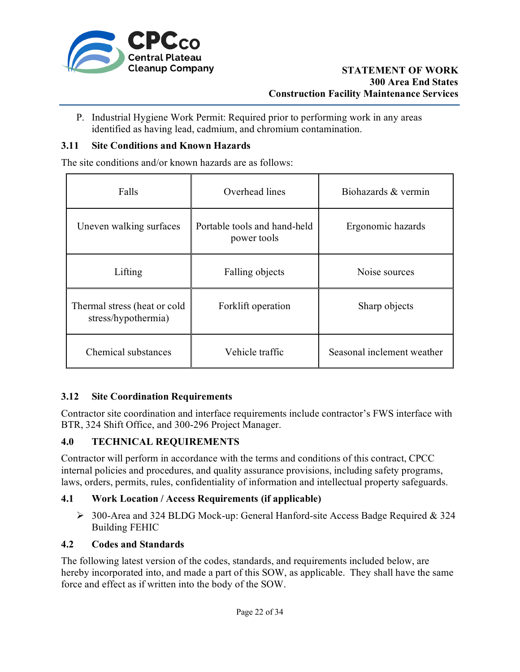

P. Industrial Hygiene Work Permit: Required prior to performing work in any areas identified as having lead, cadmium, and chromium contamination.

### **3.11 Site Conditions and Known Hazards**

The site conditions and/or known hazards are as follows:

| Falls                                               | Overhead lines                                                   | Biohazards & vermin        |  |
|-----------------------------------------------------|------------------------------------------------------------------|----------------------------|--|
| Uneven walking surfaces                             | Portable tools and hand-held<br>Ergonomic hazards<br>power tools |                            |  |
| Lifting                                             | Falling objects                                                  | Noise sources              |  |
| Thermal stress (heat or cold<br>stress/hypothermia) | Forklift operation                                               | Sharp objects              |  |
| Chemical substances                                 | Vehicle traffic                                                  | Seasonal inclement weather |  |

# **3.12 Site Coordination Requirements**

Contractor site coordination and interface requirements include contractor's FWS interface with BTR, 324 Shift Office, and 300-296 Project Manager.

### **4.0 TECHNICAL REQUIREMENTS**

Contractor will perform in accordance with the terms and conditions of this contract, CPCC internal policies and procedures, and quality assurance provisions, including safety programs, laws, orders, permits, rules, confidentiality of information and intellectual property safeguards.

### **4.1 Work Location / Access Requirements (if applicable)**

 300-Area and 324 BLDG Mock-up: General Hanford-site Access Badge Required & 324 Building FEHIC

### **4.2 Codes and Standards**

The following latest version of the codes, standards, and requirements included below, are hereby incorporated into, and made a part of this SOW, as applicable. They shall have the same force and effect as if written into the body of the SOW.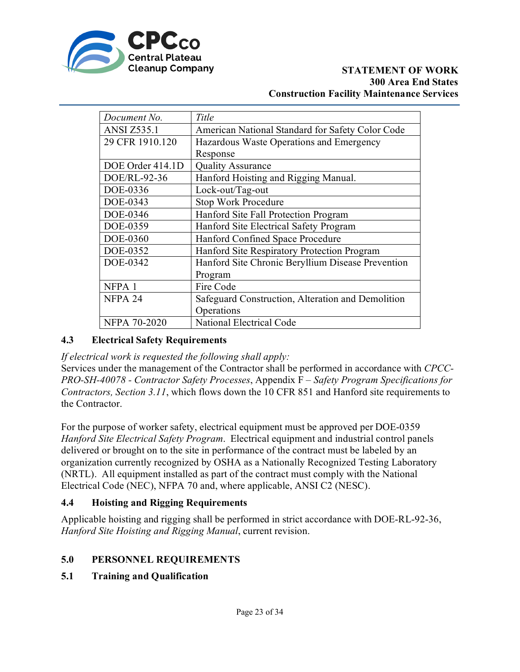

| Document No.                                                 | Title                                             |  |  |
|--------------------------------------------------------------|---------------------------------------------------|--|--|
| <b>ANSI Z535.1</b>                                           | American National Standard for Safety Color Code  |  |  |
| 29 CFR 1910.120                                              | Hazardous Waste Operations and Emergency          |  |  |
|                                                              | Response                                          |  |  |
| DOE Order 414.1D                                             | <b>Quality Assurance</b>                          |  |  |
| DOE/RL-92-36                                                 | Hanford Hoisting and Rigging Manual.              |  |  |
| DOE-0336                                                     | Lock-out/Tag-out                                  |  |  |
| DOE-0343                                                     | <b>Stop Work Procedure</b>                        |  |  |
| DOE-0346                                                     | Hanford Site Fall Protection Program              |  |  |
| DOE-0359                                                     | Hanford Site Electrical Safety Program            |  |  |
| DOE-0360                                                     | Hanford Confined Space Procedure                  |  |  |
| DOE-0352                                                     | Hanford Site Respiratory Protection Program       |  |  |
| DOE-0342                                                     | Hanford Site Chronic Beryllium Disease Prevention |  |  |
|                                                              | Program                                           |  |  |
| NFPA <sub>1</sub>                                            | Fire Code                                         |  |  |
| NFPA 24<br>Safeguard Construction, Alteration and Demolition |                                                   |  |  |
|                                                              | Operations                                        |  |  |
| <b>NFPA 70-2020</b>                                          | National Electrical Code                          |  |  |

# **4.3 Electrical Safety Requirements**

*If electrical work is requested the following shall apply:* 

Services under the management of the Contractor shall be performed in accordance with *CPCC-PRO-SH-40078 - Contractor Safety Processes*, Appendix F *– Safety Program Specifications for Contractors, Section 3.11*, which flows down the 10 CFR 851 and Hanford site requirements to the Contractor.

For the purpose of worker safety, electrical equipment must be approved per DOE-0359 *Hanford Site Electrical Safety Program*. Electrical equipment and industrial control panels delivered or brought on to the site in performance of the contract must be labeled by an organization currently recognized by OSHA as a Nationally Recognized Testing Laboratory (NRTL). All equipment installed as part of the contract must comply with the National Electrical Code (NEC), NFPA 70 and, where applicable, ANSI C2 (NESC).

# **4.4 Hoisting and Rigging Requirements**

Applicable hoisting and rigging shall be performed in strict accordance with DOE-RL-92-36, *Hanford Site Hoisting and Rigging Manual*, current revision.

# **5.0 PERSONNEL REQUIREMENTS**

# **5.1 Training and Qualification**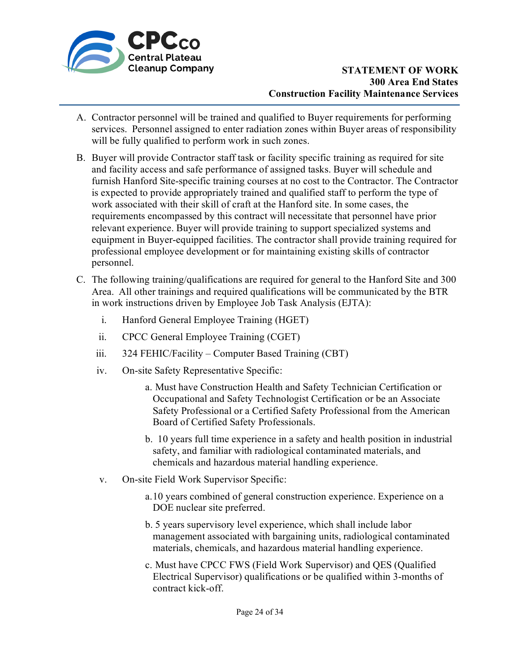

- A. Contractor personnel will be trained and qualified to Buyer requirements for performing services. Personnel assigned to enter radiation zones within Buyer areas of responsibility will be fully qualified to perform work in such zones.
- B. Buyer will provide Contractor staff task or facility specific training as required for site and facility access and safe performance of assigned tasks. Buyer will schedule and furnish Hanford Site-specific training courses at no cost to the Contractor. The Contractor is expected to provide appropriately trained and qualified staff to perform the type of work associated with their skill of craft at the Hanford site. In some cases, the requirements encompassed by this contract will necessitate that personnel have prior relevant experience. Buyer will provide training to support specialized systems and equipment in Buyer-equipped facilities. The contractor shall provide training required for professional employee development or for maintaining existing skills of contractor personnel.
- C. The following training/qualifications are required for general to the Hanford Site and 300 Area. All other trainings and required qualifications will be communicated by the BTR in work instructions driven by Employee Job Task Analysis (EJTA):
	- i. Hanford General Employee Training (HGET)
	- ii. CPCC General Employee Training (CGET)
	- iii. 324 FEHIC/Facility Computer Based Training (CBT)
	- iv. On-site Safety Representative Specific:
		- a. Must have Construction Health and Safety Technician Certification or Occupational and Safety Technologist Certification or be an Associate Safety Professional or a Certified Safety Professional from the American Board of Certified Safety Professionals.
		- b. 10 years full time experience in a safety and health position in industrial safety, and familiar with radiological contaminated materials, and chemicals and hazardous material handling experience.
	- v. On-site Field Work Supervisor Specific:
		- a.10 years combined of general construction experience. Experience on a DOE nuclear site preferred.
		- b. 5 years supervisory level experience, which shall include labor management associated with bargaining units, radiological contaminated materials, chemicals, and hazardous material handling experience.
		- c. Must have CPCC FWS (Field Work Supervisor) and QES (Qualified Electrical Supervisor) qualifications or be qualified within 3-months of contract kick-off.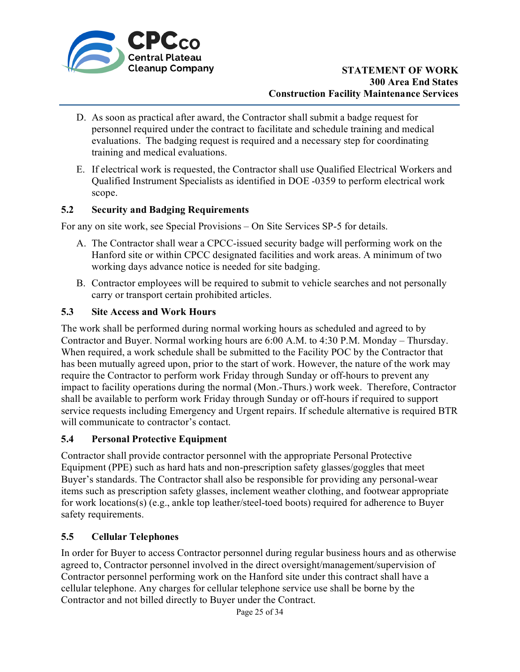

- D. As soon as practical after award, the Contractor shall submit a badge request for personnel required under the contract to facilitate and schedule training and medical evaluations. The badging request is required and a necessary step for coordinating training and medical evaluations.
- E. If electrical work is requested, the Contractor shall use Qualified Electrical Workers and Qualified Instrument Specialists as identified in DOE -0359 to perform electrical work scope.

### **5.2 Security and Badging Requirements**

For any on site work, see Special Provisions – On Site Services SP-5 for details.

- A. The Contractor shall wear a CPCC-issued security badge will performing work on the Hanford site or within CPCC designated facilities and work areas. A minimum of two working days advance notice is needed for site badging.
- B. Contractor employees will be required to submit to vehicle searches and not personally carry or transport certain prohibited articles.

### **5.3 Site Access and Work Hours**

The work shall be performed during normal working hours as scheduled and agreed to by Contractor and Buyer. Normal working hours are 6:00 A.M. to 4:30 P.M. Monday – Thursday. When required, a work schedule shall be submitted to the Facility POC by the Contractor that has been mutually agreed upon, prior to the start of work. However, the nature of the work may require the Contractor to perform work Friday through Sunday or off-hours to prevent any impact to facility operations during the normal (Mon.-Thurs.) work week. Therefore, Contractor shall be available to perform work Friday through Sunday or off-hours if required to support service requests including Emergency and Urgent repairs. If schedule alternative is required BTR will communicate to contractor's contact.

### **5.4 Personal Protective Equipment**

Contractor shall provide contractor personnel with the appropriate Personal Protective Equipment (PPE) such as hard hats and non-prescription safety glasses/goggles that meet Buyer's standards. The Contractor shall also be responsible for providing any personal-wear items such as prescription safety glasses, inclement weather clothing, and footwear appropriate for work locations(s) (e.g., ankle top leather/steel-toed boots) required for adherence to Buyer safety requirements.

### **5.5 Cellular Telephones**

In order for Buyer to access Contractor personnel during regular business hours and as otherwise agreed to, Contractor personnel involved in the direct oversight/management/supervision of Contractor personnel performing work on the Hanford site under this contract shall have a cellular telephone. Any charges for cellular telephone service use shall be borne by the Contractor and not billed directly to Buyer under the Contract.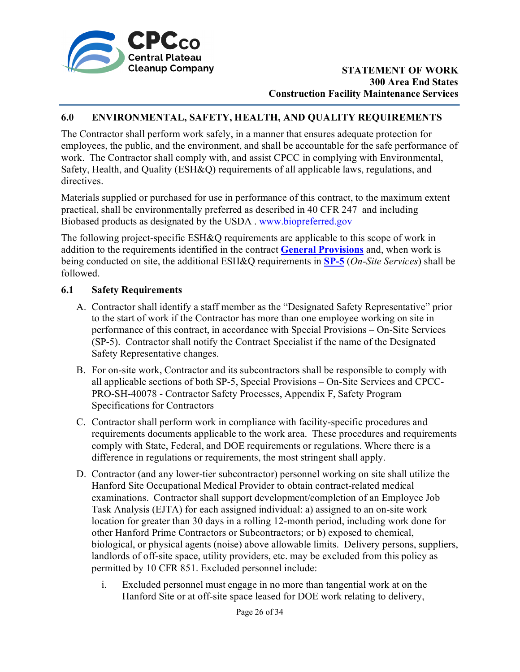

#### **6.0 ENVIRONMENTAL, SAFETY, HEALTH, AND QUALITY REQUIREMENTS**

The Contractor shall perform work safely, in a manner that ensures adequate protection for employees, the public, and the environment, and shall be accountable for the safe performance of work. The Contractor shall comply with, and assist CPCC in complying with Environmental, Safety, Health, and Quality (ESH&Q) requirements of all applicable laws, regulations, and directives.

Materials supplied or purchased for use in performance of this contract, to the maximum extent practical, shall be environmentally preferred as described in 40 CFR 247 and including Biobased products as designated by the USDA . [www.biopreferred.gov](http://www.biopreferred.gov/) 

The following project-specific ESH&Q requirements are applicable to this scope of work in addition to the requirements identified in the contract **[General Provisions](https://cpcco.hanford.gov/page.cfm/ContractProvisions)** and, when work is being conducted on site, the additional ESH&Q requirements in **[SP-5](https://cpcco.hanford.gov/page.cfm/ContractProvisions)** (*On-Site Services*) shall be followed.

#### **6.1 Safety Requirements**

- A. Contractor shall identify a staff member as the "Designated Safety Representative" prior to the start of work if the Contractor has more than one employee working on site in performance of this contract, in accordance with Special Provisions – On-Site Services (SP-5). Contractor shall notify the Contract Specialist if the name of the Designated Safety Representative changes.
- B. For on-site work, Contractor and its subcontractors shall be responsible to comply with all applicable sections of both SP-5, Special Provisions – On-Site Services and CPCC-PRO-SH-40078 - Contractor Safety Processes, Appendix F, Safety Program Specifications for Contractors
- C. Contractor shall perform work in compliance with facility-specific procedures and requirements documents applicable to the work area. These procedures and requirements comply with State, Federal, and DOE requirements or regulations. Where there is a difference in regulations or requirements, the most stringent shall apply.
- D. Contractor (and any lower-tier subcontractor) personnel working on site shall utilize the Hanford Site Occupational Medical Provider to obtain contract-related medical examinations. Contractor shall support development/completion of an Employee Job Task Analysis (EJTA) for each assigned individual: a) assigned to an on-site work location for greater than 30 days in a rolling 12-month period, including work done for other Hanford Prime Contractors or Subcontractors; or b) exposed to chemical, biological, or physical agents (noise) above allowable limits. Delivery persons, suppliers, landlords of off-site space, utility providers, etc. may be excluded from this policy as permitted by 10 CFR 851. Excluded personnel include:
	- i. Excluded personnel must engage in no more than tangential work at on the Hanford Site or at off-site space leased for DOE work relating to delivery,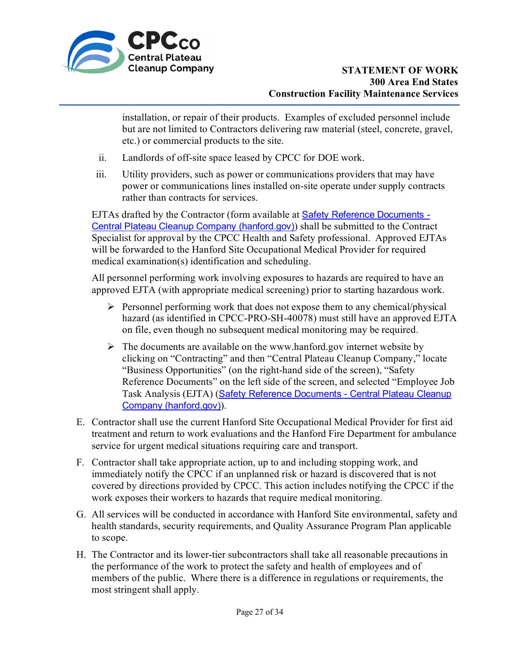

installation, or repair of their products. Examples of excluded personnel include but are not limited to Contractors delivering raw material (steel, concrete, gravel, etc.) or commercial products to the site.

- ii. Landlords of off-site space leased by CPCC for DOE work.
- iii. Utility providers, such as power or communications providers that may have power or communications lines installed on-site operate under supply contracts rather than contracts for services.

EJTAs drafted by the Contractor (form available at **Safety Reference Documents -**[Central Plateau Cleanup Company \(hanford.gov\)](https://cpcco.hanford.gov/page.cfm/SafetyReferenceDocuments#EJTA)) shall be submitted to the Contract Specialist for approval by the CPCC Health and Safety professional. Approved EJTAs will be forwarded to the Hanford Site Occupational Medical Provider for required medical examination(s) identification and scheduling.

All personnel performing work involving exposures to hazards are required to have an approved EJTA (with appropriate medical screening) prior to starting hazardous work.

- $\triangleright$  Personnel performing work that does not expose them to any chemical/physical hazard (as identified in CPCC-PRO-SH-40078) must still have an approved EJTA on file, even though no subsequent medical monitoring may be required.
- $\triangleright$  The documents are available on the www.hanford.gov internet website by clicking on "Contracting" and then "Central Plateau Cleanup Company," locate "Business Opportunities" (on the right-hand side of the screen), "Safety Reference Documents" on the left side of the screen, and selected "Employee Job Task Analysis (EJTA) (Safety Reference Documents - Central Plateau Cleanup [Company \(hanford.gov\)](https://cpcco.hanford.gov/page.cfm/SafetyReferenceDocuments#EJTA)).
- E. Contractor shall use the current Hanford Site Occupational Medical Provider for first aid treatment and return to work evaluations and the Hanford Fire Department for ambulance service for urgent medical situations requiring care and transport.
- F. Contractor shall take appropriate action, up to and including stopping work, and immediately notify the CPCC if an unplanned risk or hazard is discovered that is not covered by directions provided by CPCC. This action includes notifying the CPCC if the work exposes their workers to hazards that require medical monitoring.
- G. All services will be conducted in accordance with Hanford Site environmental, safety and health standards, security requirements, and Quality Assurance Program Plan applicable to scope.
- H. The Contractor and its lower-tier subcontractors shall take all reasonable precautions in the performance of the work to protect the safety and health of employees and of members of the public. Where there is a difference in regulations or requirements, the most stringent shall apply.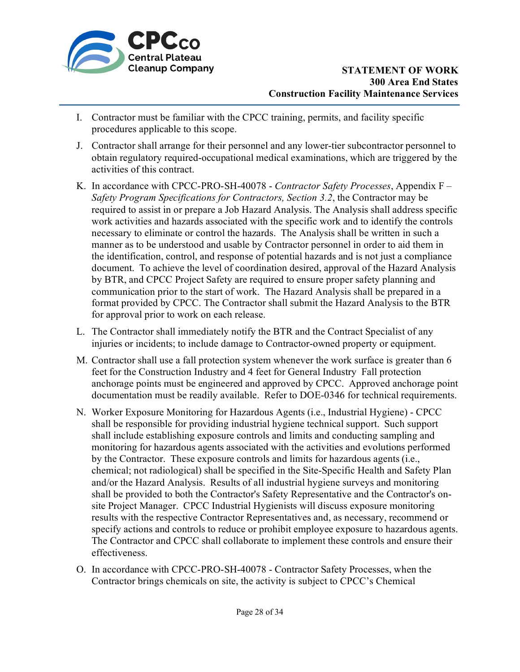

- I. Contractor must be familiar with the CPCC training, permits, and facility specific procedures applicable to this scope.
- J. Contractor shall arrange for their personnel and any lower-tier subcontractor personnel to obtain regulatory required-occupational medical examinations, which are triggered by the activities of this contract.
- K. In accordance with CPCC-PRO-SH-40078 *Contractor Safety Processes*, Appendix F *Safety Program Specifications for Contractors, Section 3.2*, the Contractor may be required to assist in or prepare a Job Hazard Analysis. The Analysis shall address specific work activities and hazards associated with the specific work and to identify the controls necessary to eliminate or control the hazards. The Analysis shall be written in such a manner as to be understood and usable by Contractor personnel in order to aid them in the identification, control, and response of potential hazards and is not just a compliance document. To achieve the level of coordination desired, approval of the Hazard Analysis by BTR, and CPCC Project Safety are required to ensure proper safety planning and communication prior to the start of work. The Hazard Analysis shall be prepared in a format provided by CPCC. The Contractor shall submit the Hazard Analysis to the BTR for approval prior to work on each release.
- L. The Contractor shall immediately notify the BTR and the Contract Specialist of any injuries or incidents; to include damage to Contractor-owned property or equipment.
- M. Contractor shall use a fall protection system whenever the work surface is greater than 6 feet for the Construction Industry and 4 feet for General Industry Fall protection anchorage points must be engineered and approved by CPCC. Approved anchorage point documentation must be readily available. Refer to DOE-0346 for technical requirements.
- N. Worker Exposure Monitoring for Hazardous Agents (i.e., Industrial Hygiene) CPCC shall be responsible for providing industrial hygiene technical support. Such support shall include establishing exposure controls and limits and conducting sampling and monitoring for hazardous agents associated with the activities and evolutions performed by the Contractor. These exposure controls and limits for hazardous agents (i.e., chemical; not radiological) shall be specified in the Site-Specific Health and Safety Plan and/or the Hazard Analysis. Results of all industrial hygiene surveys and monitoring shall be provided to both the Contractor's Safety Representative and the Contractor's onsite Project Manager. CPCC Industrial Hygienists will discuss exposure monitoring results with the respective Contractor Representatives and, as necessary, recommend or specify actions and controls to reduce or prohibit employee exposure to hazardous agents. The Contractor and CPCC shall collaborate to implement these controls and ensure their effectiveness.
- O. In accordance with CPCC-PRO-SH-40078 Contractor Safety Processes, when the Contractor brings chemicals on site, the activity is subject to CPCC's Chemical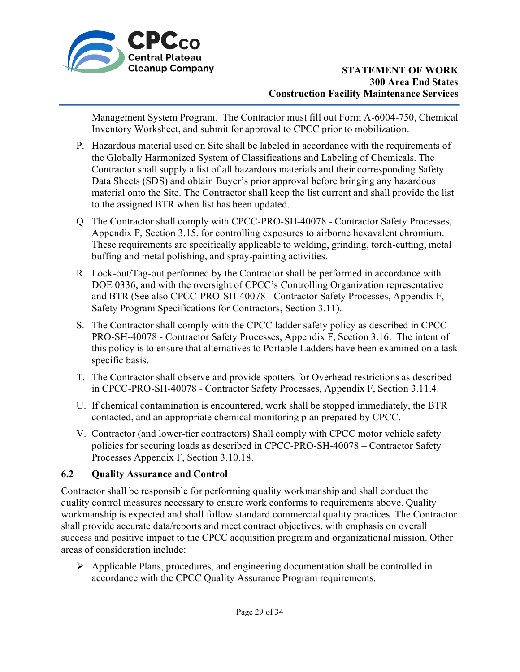

Management System Program. The Contractor must fill out Form A-6004-750, Chemical Inventory Worksheet, and submit for approval to CPCC prior to mobilization.

- P. Hazardous material used on Site shall be labeled in accordance with the requirements of the Globally Harmonized System of Classifications and Labeling of Chemicals. The Contractor shall supply a list of all hazardous materials and their corresponding Safety Data Sheets (SDS) and obtain Buyer's prior approval before bringing any hazardous material onto the Site. The Contractor shall keep the list current and shall provide the list to the assigned BTR when list has been updated.
- Q. The Contractor shall comply with CPCC-PRO-SH-40078 Contractor Safety Processes, Appendix F, Section 3.15, for controlling exposures to airborne hexavalent chromium. These requirements are specifically applicable to welding, grinding, torch-cutting, metal buffing and metal polishing, and spray-painting activities.
- R. Lock-out/Tag-out performed by the Contractor shall be performed in accordance with DOE 0336, and with the oversight of CPCC's Controlling Organization representative and BTR (See also CPCC-PRO-SH-40078 - Contractor Safety Processes, Appendix F, Safety Program Specifications for Contractors, Section 3.11).
- S. The Contractor shall comply with the CPCC ladder safety policy as described in CPCC PRO-SH-40078 - Contractor Safety Processes, Appendix F, Section 3.16. The intent of this policy is to ensure that alternatives to Portable Ladders have been examined on a task specific basis.
- T. The Contractor shall observe and provide spotters for Overhead restrictions as described in CPCC-PRO-SH-40078 - Contractor Safety Processes, Appendix F, Section 3.11.4.
- U. If chemical contamination is encountered, work shall be stopped immediately, the BTR contacted, and an appropriate chemical monitoring plan prepared by CPCC.
- V. Contractor (and lower-tier contractors) Shall comply with CPCC motor vehicle safety policies for securing loads as described in CPCC-PRO-SH-40078 – Contractor Safety Processes Appendix F, Section 3.10.18.

# **6.2 Quality Assurance and Control**

Contractor shall be responsible for performing quality workmanship and shall conduct the quality control measures necessary to ensure work conforms to requirements above. Quality workmanship is expected and shall follow standard commercial quality practices. The Contractor shall provide accurate data/reports and meet contract objectives, with emphasis on overall success and positive impact to the CPCC acquisition program and organizational mission. Other areas of consideration include:

 $\triangleright$  Applicable Plans, procedures, and engineering documentation shall be controlled in accordance with the CPCC Quality Assurance Program requirements.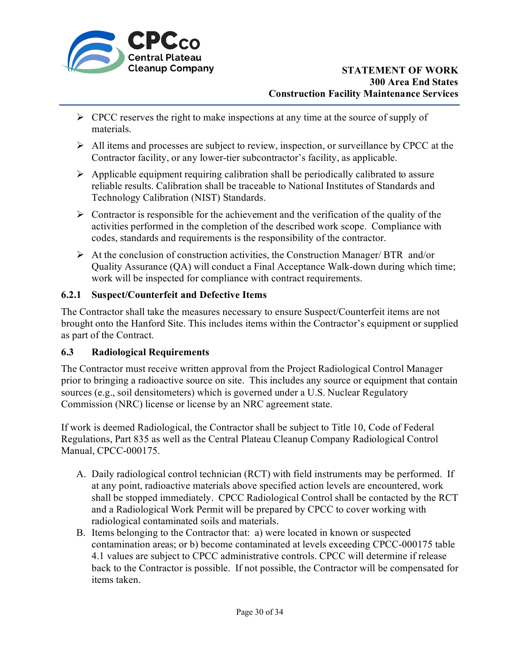

- $\triangleright$  CPCC reserves the right to make inspections at any time at the source of supply of materials.
- $\triangleright$  All items and processes are subject to review, inspection, or surveillance by CPCC at the Contractor facility, or any lower-tier subcontractor's facility, as applicable.
- $\triangleright$  Applicable equipment requiring calibration shall be periodically calibrated to assure reliable results. Calibration shall be traceable to National Institutes of Standards and Technology Calibration (NIST) Standards.
- $\triangleright$  Contractor is responsible for the achievement and the verification of the quality of the activities performed in the completion of the described work scope. Compliance with codes, standards and requirements is the responsibility of the contractor.
- $\triangleright$  At the conclusion of construction activities, the Construction Manager/ BTR and/or Quality Assurance (QA) will conduct a Final Acceptance Walk-down during which time; work will be inspected for compliance with contract requirements.

# **6.2.1 Suspect/Counterfeit and Defective Items**

The Contractor shall take the measures necessary to ensure Suspect/Counterfeit items are not brought onto the Hanford Site. This includes items within the Contractor's equipment or supplied as part of the Contract.

### **6.3 Radiological Requirements**

The Contractor must receive written approval from the Project Radiological Control Manager prior to bringing a radioactive source on site. This includes any source or equipment that contain sources (e.g., soil densitometers) which is governed under a U.S. Nuclear Regulatory Commission (NRC) license or license by an NRC agreement state.

If work is deemed Radiological, the Contractor shall be subject to Title 10, Code of Federal Regulations, Part 835 as well as the Central Plateau Cleanup Company Radiological Control Manual, CPCC-000175.

- A. Daily radiological control technician (RCT) with field instruments may be performed. If at any point, radioactive materials above specified action levels are encountered, work shall be stopped immediately. CPCC Radiological Control shall be contacted by the RCT and a Radiological Work Permit will be prepared by CPCC to cover working with radiological contaminated soils and materials.
- B. Items belonging to the Contractor that: a) were located in known or suspected contamination areas; or b) become contaminated at levels exceeding CPCC-000175 table 4.1 values are subject to CPCC administrative controls. CPCC will determine if release back to the Contractor is possible. If not possible, the Contractor will be compensated for items taken.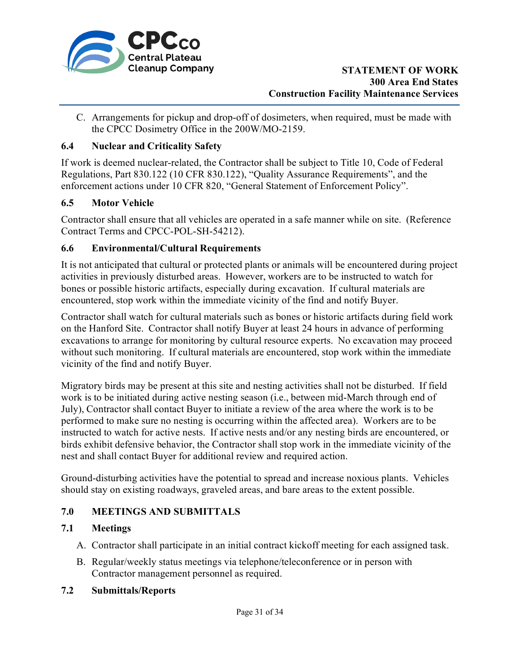

C. Arrangements for pickup and drop-off of dosimeters, when required, must be made with the CPCC Dosimetry Office in the 200W/MO-2159.

### **6.4 Nuclear and Criticality Safety**

If work is deemed nuclear-related, the Contractor shall be subject to Title 10, Code of Federal Regulations, Part 830.122 (10 CFR 830.122), "Quality Assurance Requirements", and the enforcement actions under 10 CFR 820, "General Statement of Enforcement Policy".

## **6.5 Motor Vehicle**

Contractor shall ensure that all vehicles are operated in a safe manner while on site. (Reference Contract Terms and CPCC-POL-SH-54212).

### **6.6 Environmental/Cultural Requirements**

It is not anticipated that cultural or protected plants or animals will be encountered during project activities in previously disturbed areas. However, workers are to be instructed to watch for bones or possible historic artifacts, especially during excavation. If cultural materials are encountered, stop work within the immediate vicinity of the find and notify Buyer.

Contractor shall watch for cultural materials such as bones or historic artifacts during field work on the Hanford Site. Contractor shall notify Buyer at least 24 hours in advance of performing excavations to arrange for monitoring by cultural resource experts. No excavation may proceed without such monitoring. If cultural materials are encountered, stop work within the immediate vicinity of the find and notify Buyer.

Migratory birds may be present at this site and nesting activities shall not be disturbed. If field work is to be initiated during active nesting season (i.e., between mid-March through end of July), Contractor shall contact Buyer to initiate a review of the area where the work is to be performed to make sure no nesting is occurring within the affected area). Workers are to be instructed to watch for active nests. If active nests and/or any nesting birds are encountered, or birds exhibit defensive behavior, the Contractor shall stop work in the immediate vicinity of the nest and shall contact Buyer for additional review and required action.

Ground-disturbing activities have the potential to spread and increase noxious plants. Vehicles should stay on existing roadways, graveled areas, and bare areas to the extent possible.

# **7.0 MEETINGS AND SUBMITTALS**

# **7.1 Meetings**

- A. Contractor shall participate in an initial contract kickoff meeting for each assigned task.
- B. Regular/weekly status meetings via telephone/teleconference or in person with Contractor management personnel as required.

### **7.2 Submittals/Reports**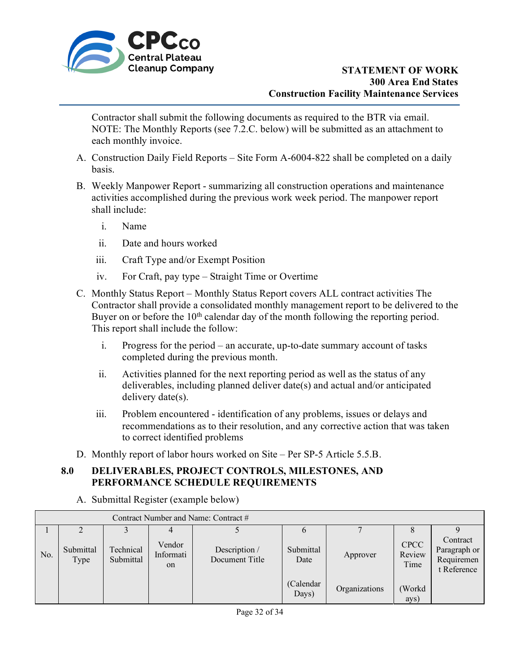

Contractor shall submit the following documents as required to the BTR via email. NOTE: The Monthly Reports (see 7.2.C. below) will be submitted as an attachment to each monthly invoice.

- A. Construction Daily Field Reports Site Form A-6004-822 shall be completed on a daily basis.
- B. Weekly Manpower Report summarizing all construction operations and maintenance activities accomplished during the previous work week period. The manpower report shall include:
	- i. Name

- ii. Date and hours worked
- iii. Craft Type and/or Exempt Position
- iv. For Craft, pay type Straight Time or Overtime
- C. Monthly Status Report Monthly Status Report covers ALL contract activities The Contractor shall provide a consolidated monthly management report to be delivered to the Buyer on or before the  $10<sup>th</sup>$  calendar day of the month following the reporting period. This report shall include the follow:
	- i. Progress for the period an accurate, up-to-date summary account of tasks completed during the previous month.
	- ii. Activities planned for the next reporting period as well as the status of any deliverables, including planned deliver date(s) and actual and/or anticipated delivery date(s).
	- iii. Problem encountered identification of any problems, issues or delays and recommendations as to their resolution, and any corrective action that was taken to correct identified problems
- D. Monthly report of labor hours worked on Site Per SP-5 Article 5.5.B.

## **8.0 DELIVERABLES, PROJECT CONTROLS, MILESTONES, AND PERFORMANCE SCHEDULE REQUIREMENTS**

A. Submittal Register (example below)

| Contract Number and Name: Contract # |                   |                        |                                      |                                 |                     |               |                               |                                                       |
|--------------------------------------|-------------------|------------------------|--------------------------------------|---------------------------------|---------------------|---------------|-------------------------------|-------------------------------------------------------|
|                                      |                   |                        |                                      |                                 |                     |               |                               |                                                       |
| No.                                  | Submittal<br>Type | Technical<br>Submittal | Vendor<br>Informati<br><sub>on</sub> | Description /<br>Document Title | Submittal<br>Date   | Approver      | <b>CPCC</b><br>Review<br>Time | Contract<br>Paragraph or<br>Requiremen<br>t Reference |
|                                      |                   |                        |                                      |                                 | (Calendar)<br>Days) | Organizations | (Workd<br>ays)                |                                                       |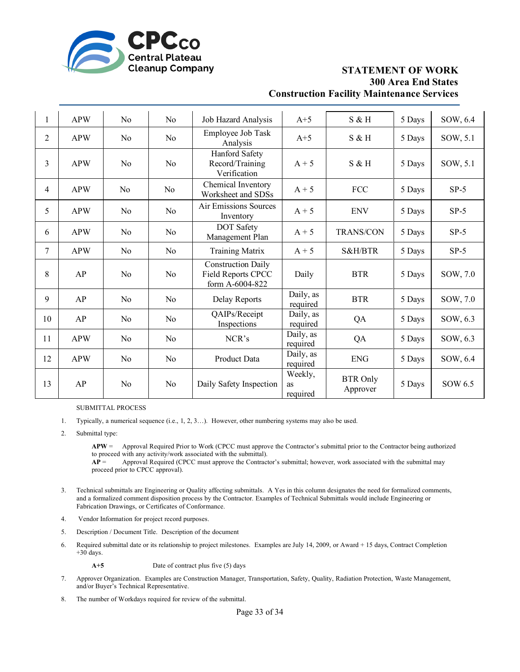

| $\mathbf{1}$   | <b>APW</b> | N <sub>o</sub> | No             | Job Hazard Analysis                                                | $A+5$                     | $S$ & H                     | 5 Days | SOW, 6.4 |
|----------------|------------|----------------|----------------|--------------------------------------------------------------------|---------------------------|-----------------------------|--------|----------|
| $\overline{2}$ | <b>APW</b> | No             | N <sub>0</sub> | Employee Job Task<br>Analysis                                      | $A+5$                     | S & H                       | 5 Days | SOW, 5.1 |
| 3              | <b>APW</b> | No             | No             | Hanford Safety<br>Record/Training<br>Verification                  | $A + 5$                   | S & H                       | 5 Days | SOW, 5.1 |
| $\overline{4}$ | <b>APW</b> | No             | No             | Chemical Inventory<br>Worksheet and SDSs                           | $A + 5$                   | <b>FCC</b>                  | 5 Days | $SP-5$   |
| 5              | <b>APW</b> | No             | No             | Air Emissions Sources<br>Inventory                                 | $A + 5$                   | <b>ENV</b>                  | 5 Days | $SP-5$   |
| 6              | <b>APW</b> | No             | No             | DOT Safety<br>Management Plan                                      | $A + 5$                   | <b>TRANS/CON</b>            | 5 Days | $SP-5$   |
| $\tau$         | <b>APW</b> | N <sub>o</sub> | N <sub>0</sub> | <b>Training Matrix</b>                                             | $A + 5$                   | S&H/BTR                     | 5 Days | $SP-5$   |
| 8              | AP         | No             | No             | <b>Construction Daily</b><br>Field Reports CPCC<br>form A-6004-822 | Daily                     | <b>BTR</b>                  | 5 Days | SOW, 7.0 |
| 9              | AP         | N <sub>o</sub> | No             | Delay Reports                                                      | Daily, as<br>required     | <b>BTR</b>                  | 5 Days | SOW, 7.0 |
| 10             | AP         | N <sub>o</sub> | No             | QAIPs/Receipt<br>Inspections                                       | Daily, as<br>required     | QA                          | 5 Days | SOW, 6.3 |
| 11             | <b>APW</b> | No             | No             | NCR's                                                              | Daily, as<br>required     | QA                          | 5 Days | SOW, 6.3 |
| 12             | <b>APW</b> | No             | No             | Product Data                                                       | Daily, as<br>required     | <b>ENG</b>                  | 5 Days | SOW, 6.4 |
| 13             | AP         | N <sub>o</sub> | No             | Daily Safety Inspection                                            | Weekly,<br>as<br>required | <b>BTR</b> Only<br>Approver | 5 Days | SOW 6.5  |

SUBMITTAL PROCESS

- 1. Typically, a numerical sequence (i.e., 1, 2, 3…). However, other numbering systems may also be used.
- 2. Submittal type:

**APW** = Approval Required Prior to Work (CPCC must approve the Contractor's submittal prior to the Contractor being authorized to proceed with any activity/work associated with the submittal).

**AP** = Approval Required (CPCC must approve the Contractor's submittal; however, work associated with the submittal may proceed prior to CPCC approval).

- 3. Technical submittals are Engineering or Quality affecting submittals. A Yes in this column designates the need for formalized comments, and a formalized comment disposition process by the Contractor. Examples of Technical Submittals would include Engineering or Fabrication Drawings, or Certificates of Conformance.
- 4. Vendor Information for project record purposes.
- 5. Description / Document Title. Description of the document
- 6. Required submittal date or its relationship to project milestones. Examples are July 14, 2009, or Award + 15 days, Contract Completion +30 days.

**A+5** Date of contract plus five (5) days

- 7. Approver Organization. Examples are Construction Manager, Transportation, Safety, Quality, Radiation Protection, Waste Management, and/or Buyer's Technical Representative.
- 8. The number of Workdays required for review of the submittal.